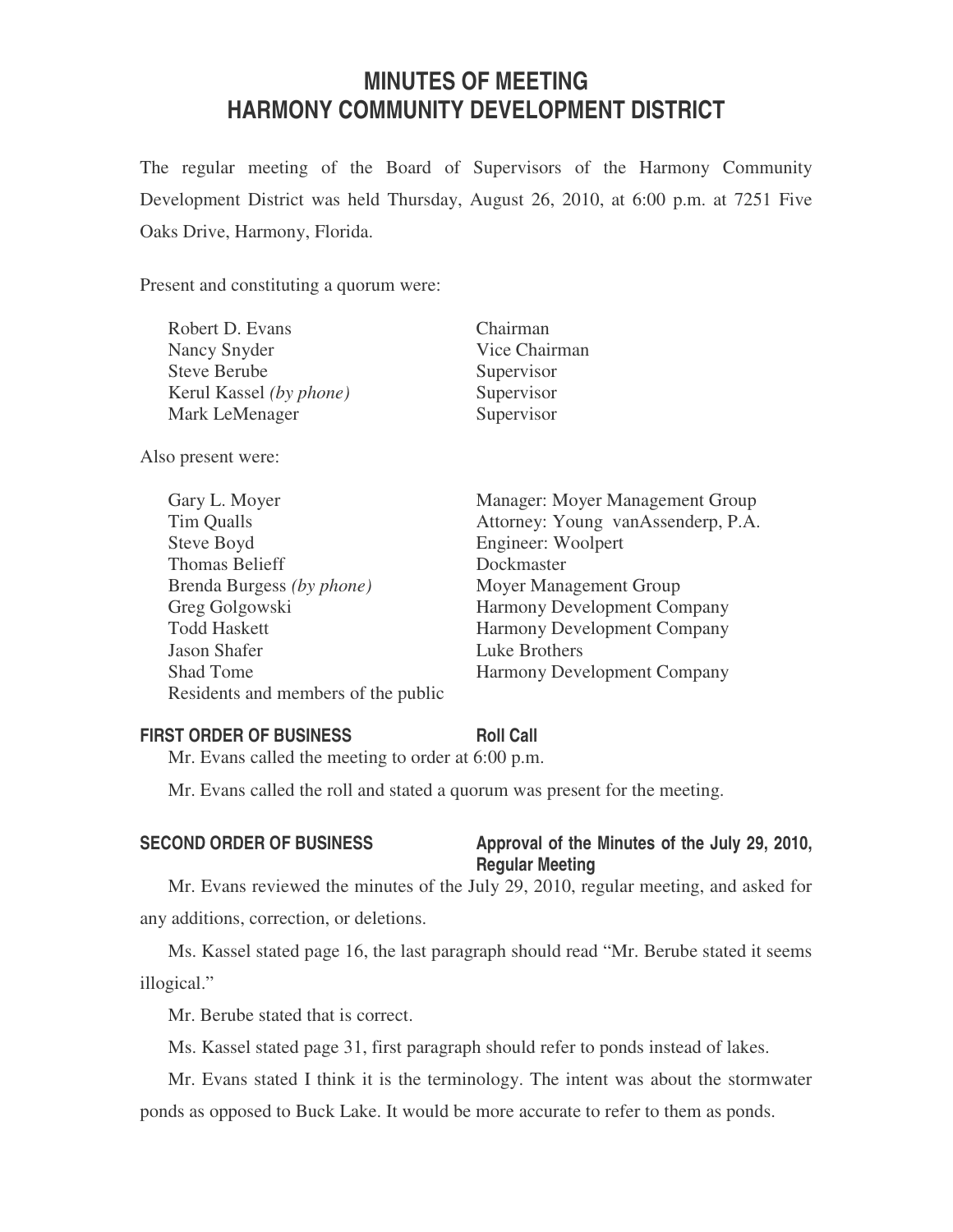# **MINUTES OF MEETING HARMONY COMMUNITY DEVELOPMENT DISTRICT**

The regular meeting of the Board of Supervisors of the Harmony Community Development District was held Thursday, August 26, 2010, at 6:00 p.m. at 7251 Five Oaks Drive, Harmony, Florida.

Present and constituting a quorum were:

| Robert D. Evans         | Chairman      |
|-------------------------|---------------|
| Nancy Snyder            | Vice Chairman |
| <b>Steve Berube</b>     | Supervisor    |
| Kerul Kassel (by phone) | Supervisor    |
| Mark LeMenager          | Supervisor    |

Also present were:

| Gary L. Moyer                       | Manager: Moyer Management Group    |
|-------------------------------------|------------------------------------|
| Tim Qualls                          | Attorney: Young vanAssenderp, P.A. |
| Steve Boyd                          | Engineer: Woolpert                 |
| <b>Thomas Belieff</b>               | Dockmaster                         |
| Brenda Burgess (by phone)           | Moyer Management Group             |
| Greg Golgowski                      | <b>Harmony Development Company</b> |
| <b>Todd Haskett</b>                 | <b>Harmony Development Company</b> |
| Jason Shafer                        | Luke Brothers                      |
| Shad Tome                           | <b>Harmony Development Company</b> |
| Residents and members of the public |                                    |

### **FIRST ORDER OF BUSINESS Roll Call**

Mr. Evans called the meeting to order at 6:00 p.m.

Mr. Evans called the roll and stated a quorum was present for the meeting.

## SECOND ORDER OF BUSINESS Approval of the Minutes of the July 29, 2010, **Regular Meeting**

Mr. Evans reviewed the minutes of the July 29, 2010, regular meeting, and asked for any additions, correction, or deletions.

Ms. Kassel stated page 16, the last paragraph should read "Mr. Berube stated it seems illogical."

Mr. Berube stated that is correct.

Ms. Kassel stated page 31, first paragraph should refer to ponds instead of lakes.

Mr. Evans stated I think it is the terminology. The intent was about the stormwater ponds as opposed to Buck Lake. It would be more accurate to refer to them as ponds.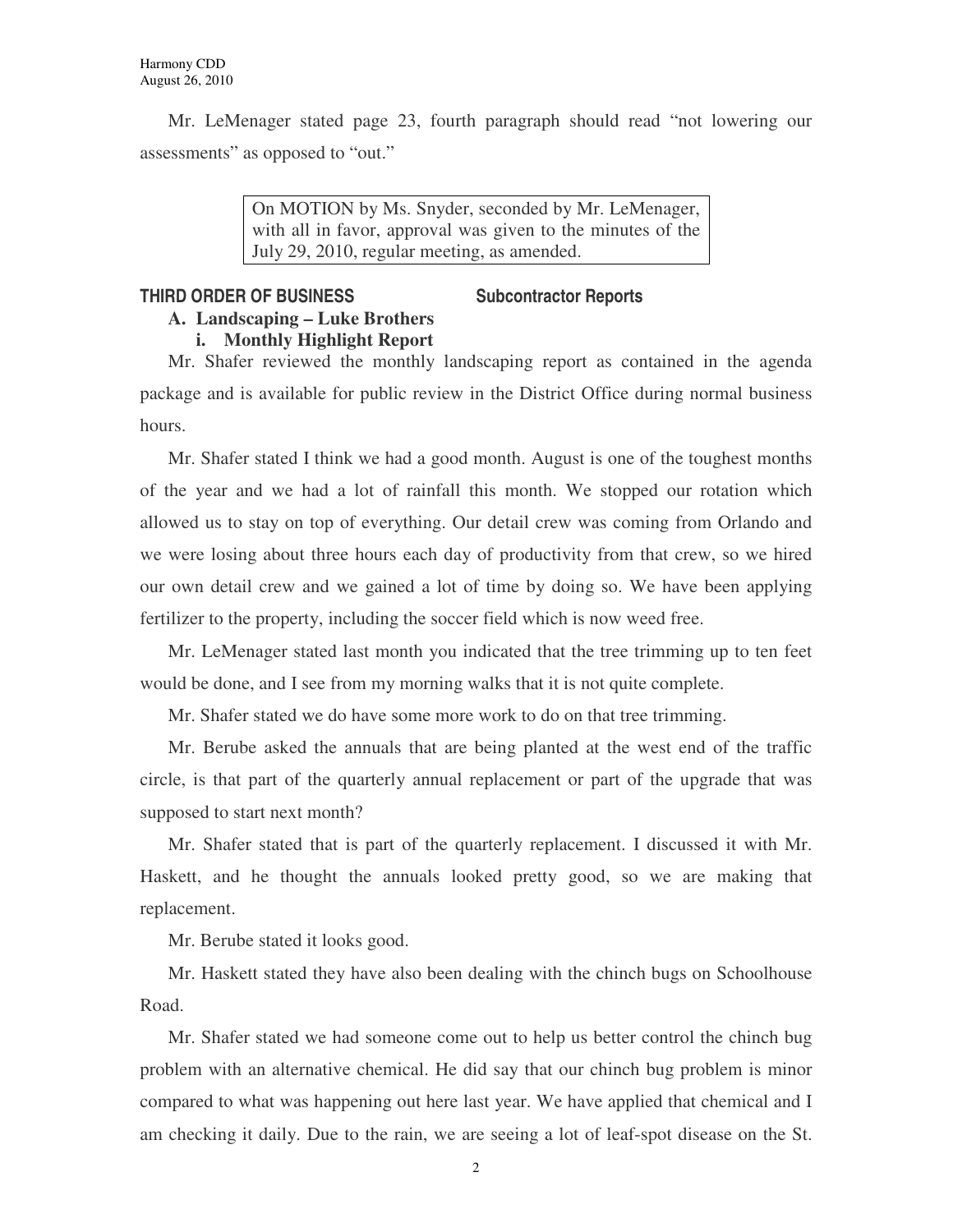Mr. LeMenager stated page 23, fourth paragraph should read "not lowering our assessments" as opposed to "out."

> On MOTION by Ms. Snyder, seconded by Mr. LeMenager, with all in favor, approval was given to the minutes of the July 29, 2010, regular meeting, as amended.

#### **THIRD ORDER OF BUSINESS Subcontractor Reports**

## **A. Landscaping – Luke Brothers**

**i. Monthly Highlight Report**

Mr. Shafer reviewed the monthly landscaping report as contained in the agenda package and is available for public review in the District Office during normal business hours.

Mr. Shafer stated I think we had a good month. August is one of the toughest months of the year and we had a lot of rainfall this month. We stopped our rotation which allowed us to stay on top of everything. Our detail crew was coming from Orlando and we were losing about three hours each day of productivity from that crew, so we hired our own detail crew and we gained a lot of time by doing so. We have been applying fertilizer to the property, including the soccer field which is now weed free.

Mr. LeMenager stated last month you indicated that the tree trimming up to ten feet would be done, and I see from my morning walks that it is not quite complete.

Mr. Shafer stated we do have some more work to do on that tree trimming.

Mr. Berube asked the annuals that are being planted at the west end of the traffic circle, is that part of the quarterly annual replacement or part of the upgrade that was supposed to start next month?

Mr. Shafer stated that is part of the quarterly replacement. I discussed it with Mr. Haskett, and he thought the annuals looked pretty good, so we are making that replacement.

Mr. Berube stated it looks good.

Mr. Haskett stated they have also been dealing with the chinch bugs on Schoolhouse Road.

Mr. Shafer stated we had someone come out to help us better control the chinch bug problem with an alternative chemical. He did say that our chinch bug problem is minor compared to what was happening out here last year. We have applied that chemical and I am checking it daily. Due to the rain, we are seeing a lot of leaf-spot disease on the St.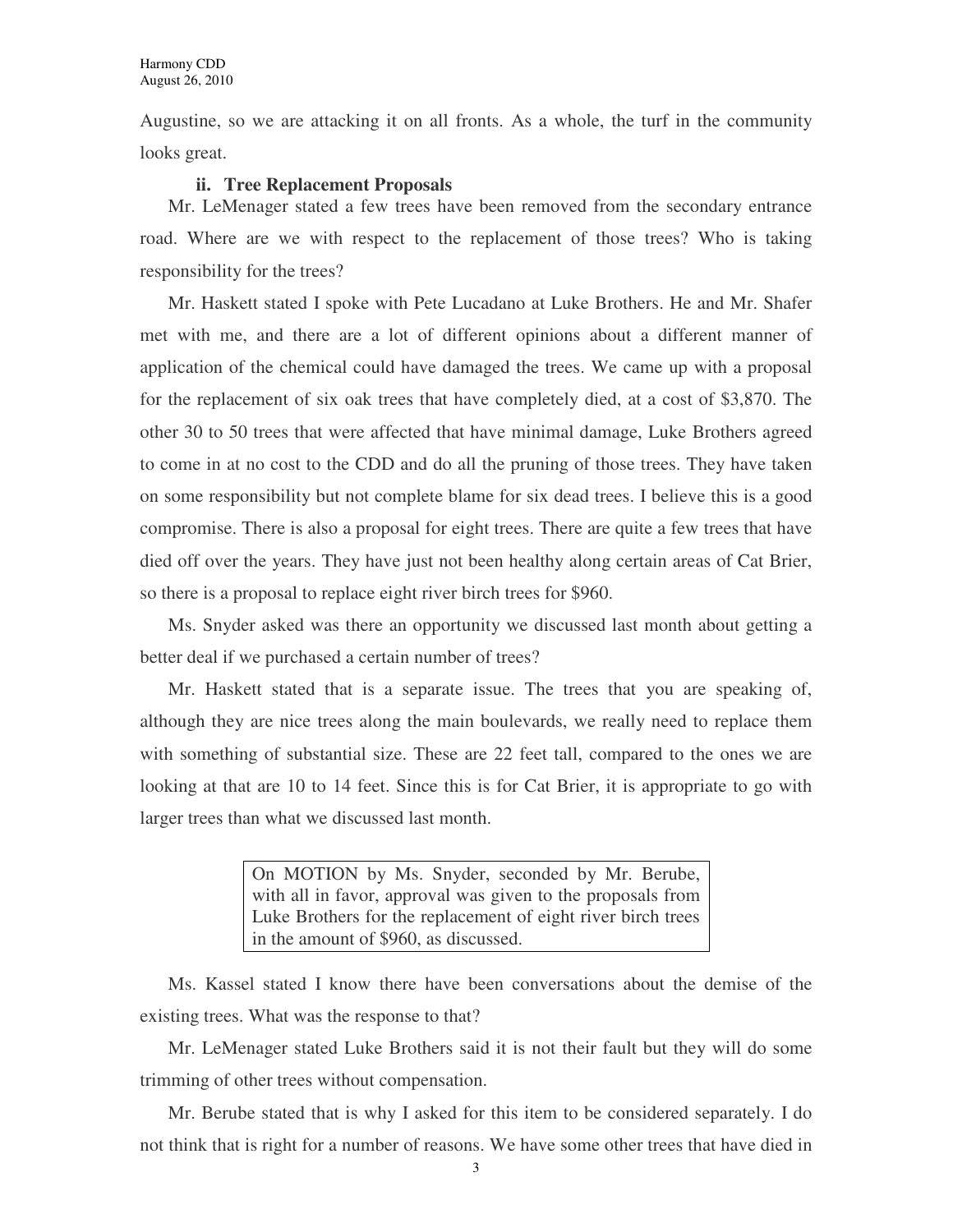Augustine, so we are attacking it on all fronts. As a whole, the turf in the community looks great.

### **ii. Tree Replacement Proposals**

Mr. LeMenager stated a few trees have been removed from the secondary entrance road. Where are we with respect to the replacement of those trees? Who is taking responsibility for the trees?

Mr. Haskett stated I spoke with Pete Lucadano at Luke Brothers. He and Mr. Shafer met with me, and there are a lot of different opinions about a different manner of application of the chemical could have damaged the trees. We came up with a proposal for the replacement of six oak trees that have completely died, at a cost of \$3,870. The other 30 to 50 trees that were affected that have minimal damage, Luke Brothers agreed to come in at no cost to the CDD and do all the pruning of those trees. They have taken on some responsibility but not complete blame for six dead trees. I believe this is a good compromise. There is also a proposal for eight trees. There are quite a few trees that have died off over the years. They have just not been healthy along certain areas of Cat Brier, so there is a proposal to replace eight river birch trees for \$960.

Ms. Snyder asked was there an opportunity we discussed last month about getting a better deal if we purchased a certain number of trees?

Mr. Haskett stated that is a separate issue. The trees that you are speaking of, although they are nice trees along the main boulevards, we really need to replace them with something of substantial size. These are 22 feet tall, compared to the ones we are looking at that are 10 to 14 feet. Since this is for Cat Brier, it is appropriate to go with larger trees than what we discussed last month.

> On MOTION by Ms. Snyder, seconded by Mr. Berube, with all in favor, approval was given to the proposals from Luke Brothers for the replacement of eight river birch trees in the amount of \$960, as discussed.

Ms. Kassel stated I know there have been conversations about the demise of the existing trees. What was the response to that?

Mr. LeMenager stated Luke Brothers said it is not their fault but they will do some trimming of other trees without compensation.

Mr. Berube stated that is why I asked for this item to be considered separately. I do not think that is right for a number of reasons. We have some other trees that have died in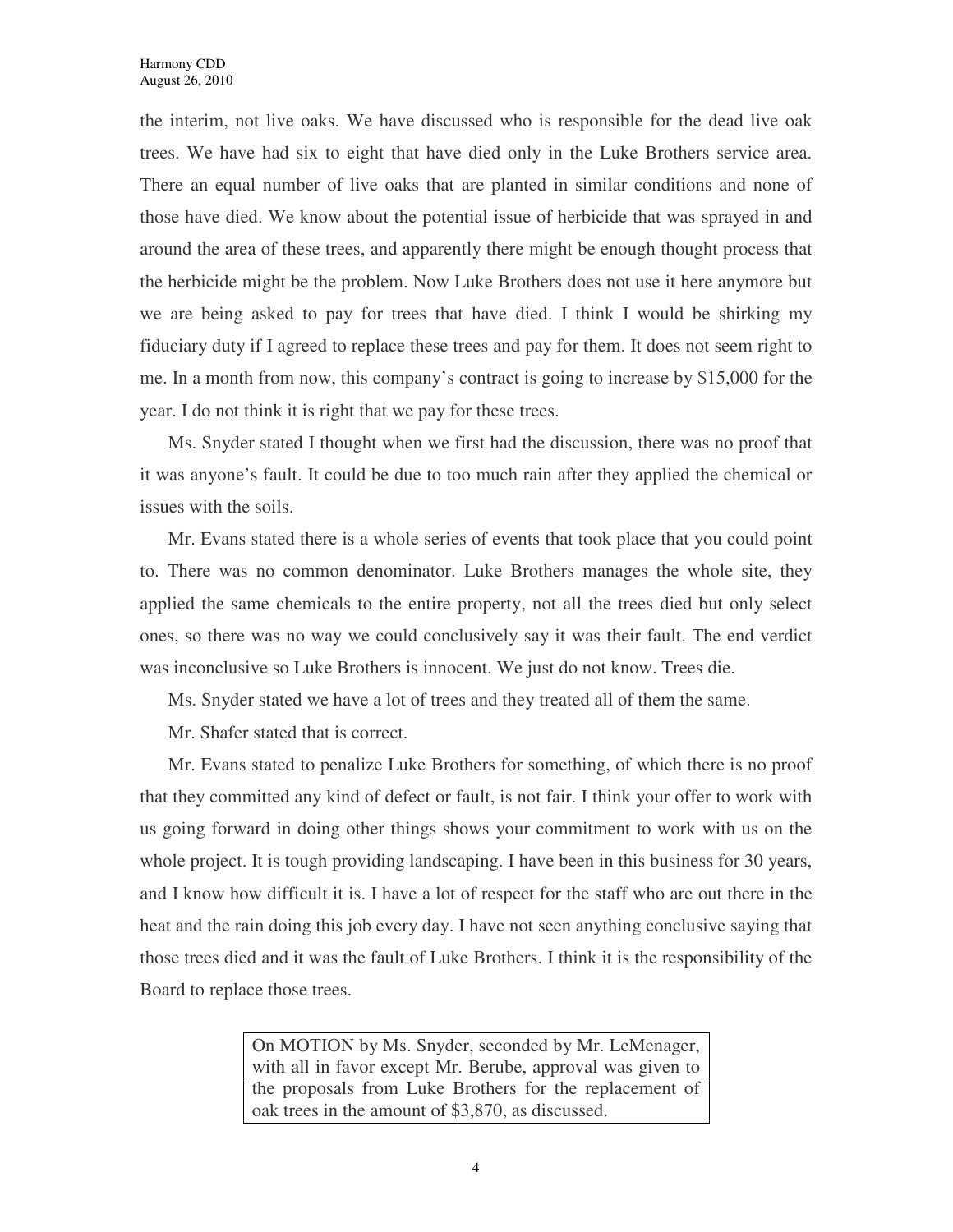the interim, not live oaks. We have discussed who is responsible for the dead live oak trees. We have had six to eight that have died only in the Luke Brothers service area. There an equal number of live oaks that are planted in similar conditions and none of those have died. We know about the potential issue of herbicide that was sprayed in and around the area of these trees, and apparently there might be enough thought process that the herbicide might be the problem. Now Luke Brothers does not use it here anymore but we are being asked to pay for trees that have died. I think I would be shirking my fiduciary duty if I agreed to replace these trees and pay for them. It does not seem right to me. In a month from now, this company's contract is going to increase by \$15,000 for the year. I do not think it is right that we pay for these trees.

Ms. Snyder stated I thought when we first had the discussion, there was no proof that it was anyone's fault. It could be due to too much rain after they applied the chemical or issues with the soils.

Mr. Evans stated there is a whole series of events that took place that you could point to. There was no common denominator. Luke Brothers manages the whole site, they applied the same chemicals to the entire property, not all the trees died but only select ones, so there was no way we could conclusively say it was their fault. The end verdict was inconclusive so Luke Brothers is innocent. We just do not know. Trees die.

Ms. Snyder stated we have a lot of trees and they treated all of them the same.

Mr. Shafer stated that is correct.

Mr. Evans stated to penalize Luke Brothers for something, of which there is no proof that they committed any kind of defect or fault, is not fair. I think your offer to work with us going forward in doing other things shows your commitment to work with us on the whole project. It is tough providing landscaping. I have been in this business for 30 years, and I know how difficult it is. I have a lot of respect for the staff who are out there in the heat and the rain doing this job every day. I have not seen anything conclusive saying that those trees died and it was the fault of Luke Brothers. I think it is the responsibility of the Board to replace those trees.

> On MOTION by Ms. Snyder, seconded by Mr. LeMenager, with all in favor except Mr. Berube, approval was given to the proposals from Luke Brothers for the replacement of oak trees in the amount of \$3,870, as discussed.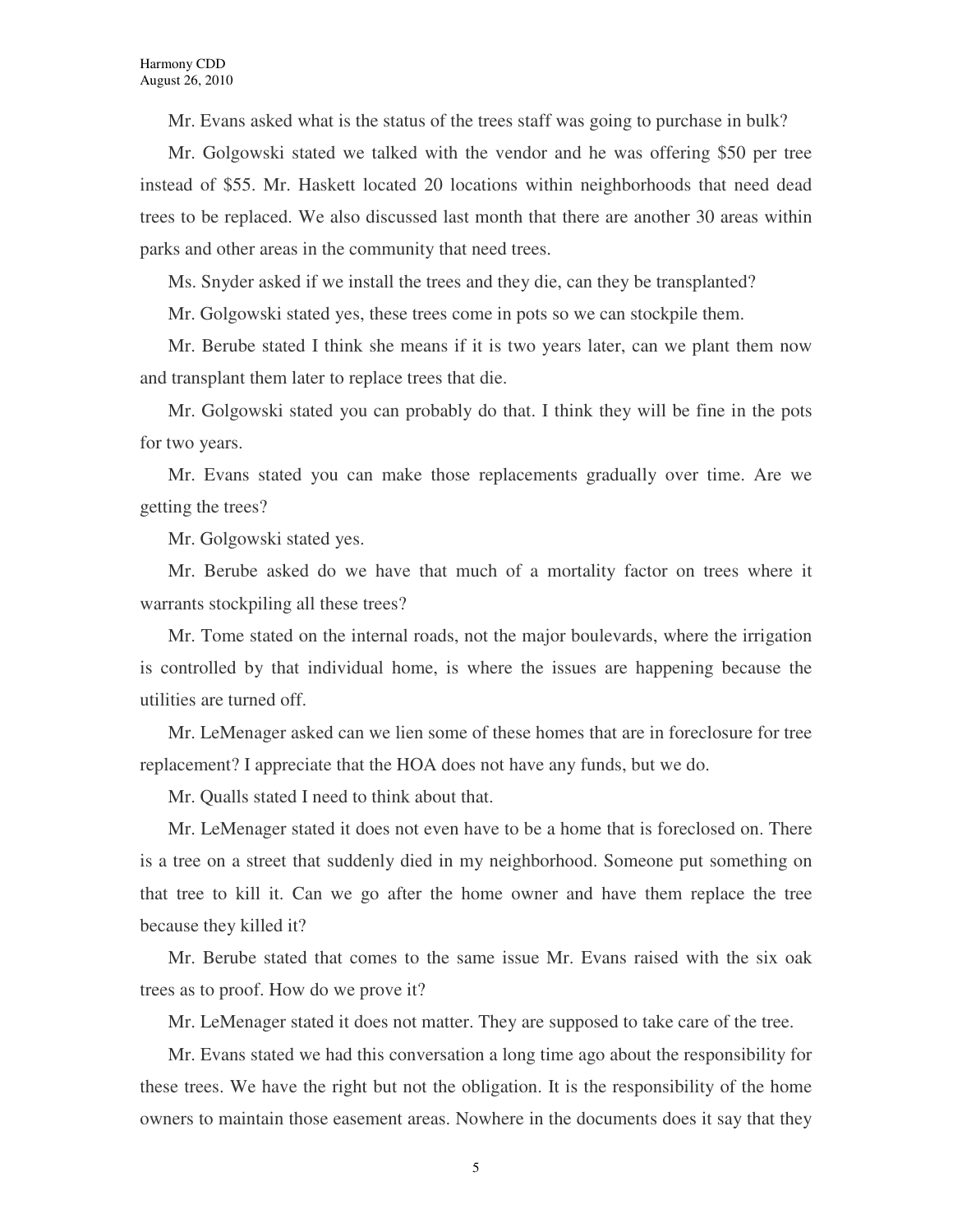Mr. Evans asked what is the status of the trees staff was going to purchase in bulk?

Mr. Golgowski stated we talked with the vendor and he was offering \$50 per tree instead of \$55. Mr. Haskett located 20 locations within neighborhoods that need dead trees to be replaced. We also discussed last month that there are another 30 areas within parks and other areas in the community that need trees.

Ms. Snyder asked if we install the trees and they die, can they be transplanted?

Mr. Golgowski stated yes, these trees come in pots so we can stockpile them.

Mr. Berube stated I think she means if it is two years later, can we plant them now and transplant them later to replace trees that die.

Mr. Golgowski stated you can probably do that. I think they will be fine in the pots for two years.

Mr. Evans stated you can make those replacements gradually over time. Are we getting the trees?

Mr. Golgowski stated yes.

Mr. Berube asked do we have that much of a mortality factor on trees where it warrants stockpiling all these trees?

Mr. Tome stated on the internal roads, not the major boulevards, where the irrigation is controlled by that individual home, is where the issues are happening because the utilities are turned off.

Mr. LeMenager asked can we lien some of these homes that are in foreclosure for tree replacement? I appreciate that the HOA does not have any funds, but we do.

Mr. Qualls stated I need to think about that.

Mr. LeMenager stated it does not even have to be a home that is foreclosed on. There is a tree on a street that suddenly died in my neighborhood. Someone put something on that tree to kill it. Can we go after the home owner and have them replace the tree because they killed it?

Mr. Berube stated that comes to the same issue Mr. Evans raised with the six oak trees as to proof. How do we prove it?

Mr. LeMenager stated it does not matter. They are supposed to take care of the tree.

Mr. Evans stated we had this conversation a long time ago about the responsibility for these trees. We have the right but not the obligation. It is the responsibility of the home owners to maintain those easement areas. Nowhere in the documents does it say that they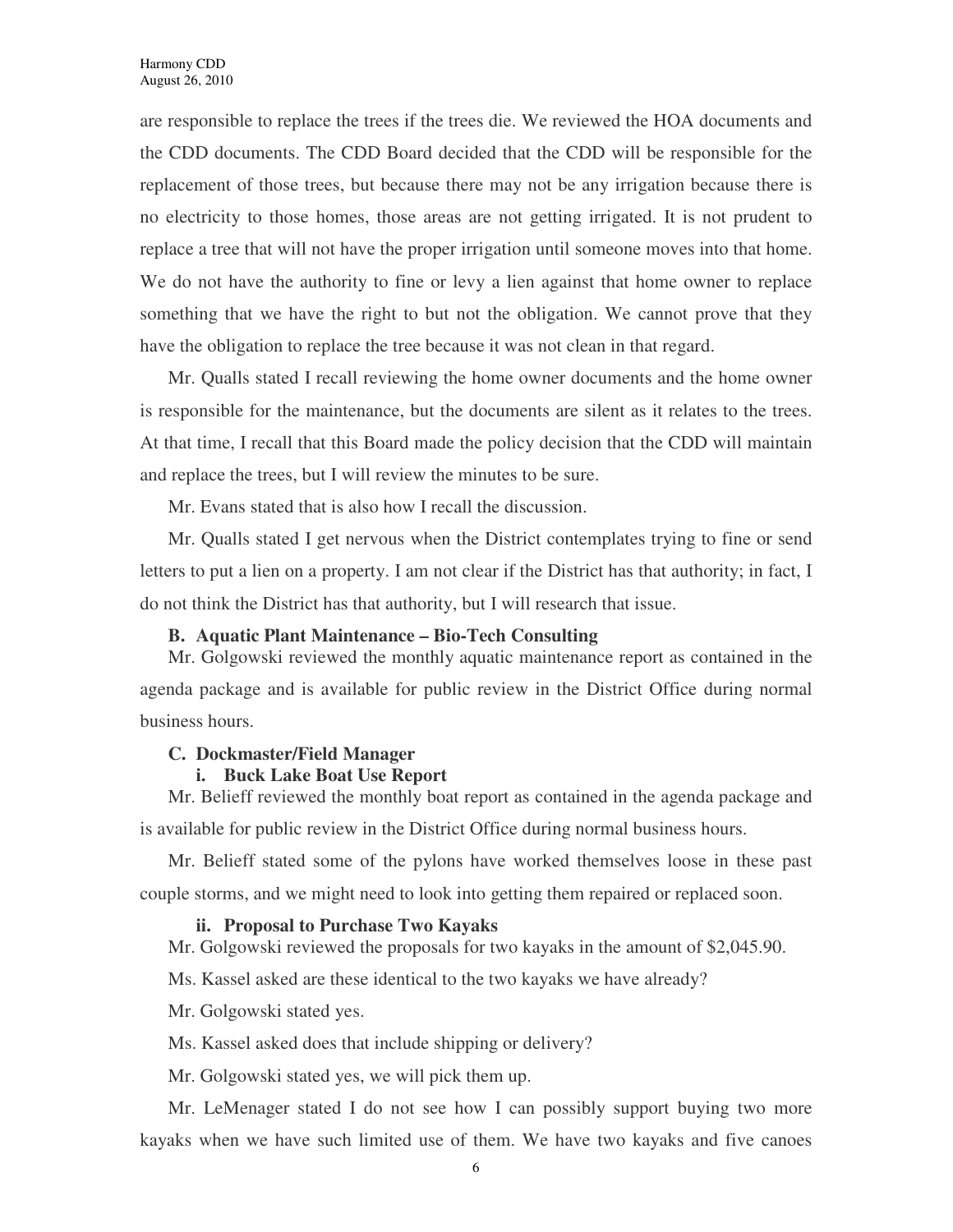are responsible to replace the trees if the trees die. We reviewed the HOA documents and the CDD documents. The CDD Board decided that the CDD will be responsible for the replacement of those trees, but because there may not be any irrigation because there is no electricity to those homes, those areas are not getting irrigated. It is not prudent to replace a tree that will not have the proper irrigation until someone moves into that home. We do not have the authority to fine or levy a lien against that home owner to replace something that we have the right to but not the obligation. We cannot prove that they have the obligation to replace the tree because it was not clean in that regard.

Mr. Qualls stated I recall reviewing the home owner documents and the home owner is responsible for the maintenance, but the documents are silent as it relates to the trees. At that time, I recall that this Board made the policy decision that the CDD will maintain and replace the trees, but I will review the minutes to be sure.

Mr. Evans stated that is also how I recall the discussion.

Mr. Qualls stated I get nervous when the District contemplates trying to fine or send letters to put a lien on a property. I am not clear if the District has that authority; in fact, I do not think the District has that authority, but I will research that issue.

#### **B. Aquatic Plant Maintenance – Bio-Tech Consulting**

Mr. Golgowski reviewed the monthly aquatic maintenance report as contained in the agenda package and is available for public review in the District Office during normal business hours.

#### **C. Dockmaster/Field Manager**

#### **i. Buck Lake Boat Use Report**

Mr. Belieff reviewed the monthly boat report as contained in the agenda package and is available for public review in the District Office during normal business hours.

Mr. Belieff stated some of the pylons have worked themselves loose in these past couple storms, and we might need to look into getting them repaired or replaced soon.

#### **ii. Proposal to Purchase Two Kayaks**

Mr. Golgowski reviewed the proposals for two kayaks in the amount of \$2,045.90.

Ms. Kassel asked are these identical to the two kayaks we have already?

Mr. Golgowski stated yes.

Ms. Kassel asked does that include shipping or delivery?

Mr. Golgowski stated yes, we will pick them up.

Mr. LeMenager stated I do not see how I can possibly support buying two more kayaks when we have such limited use of them. We have two kayaks and five canoes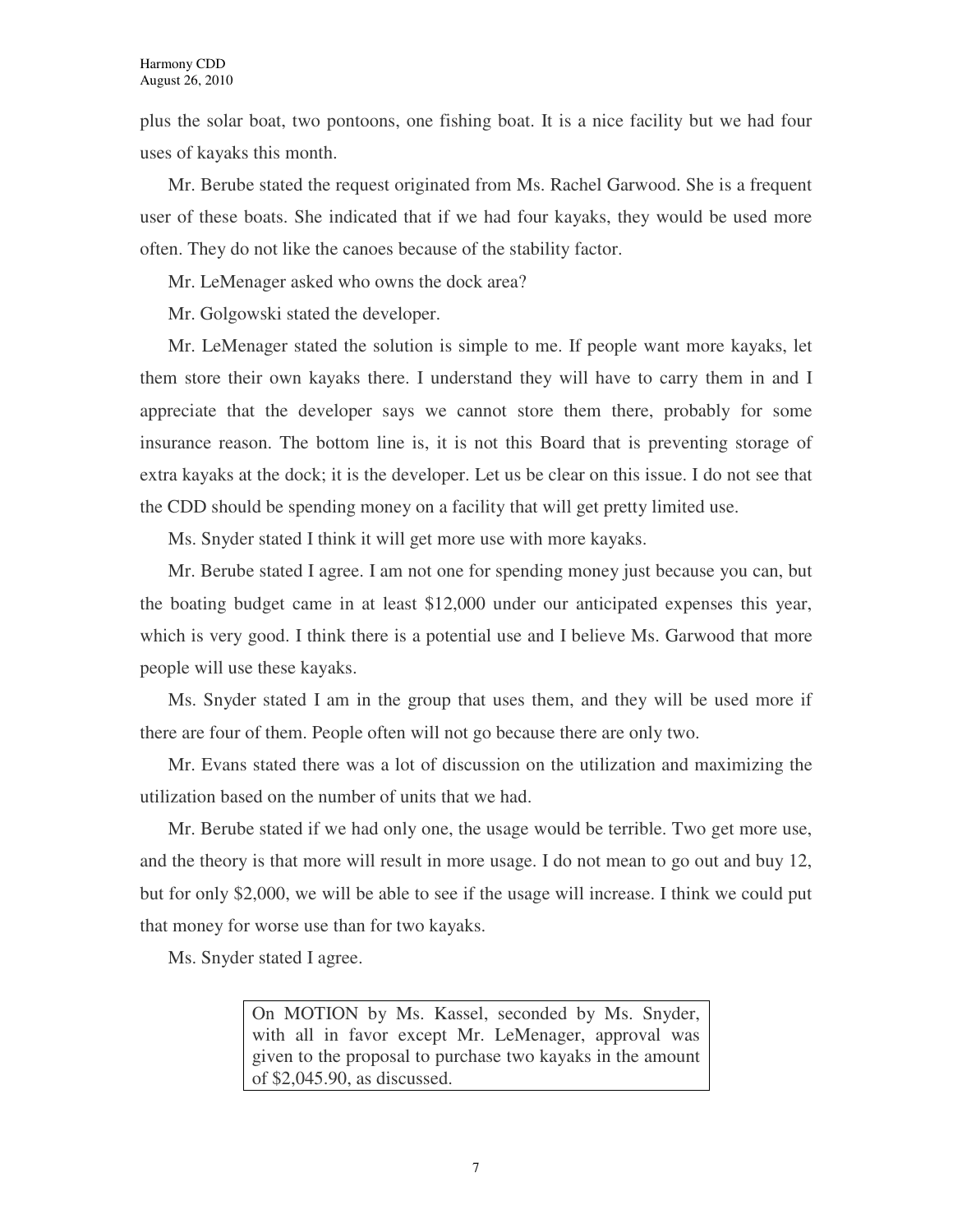plus the solar boat, two pontoons, one fishing boat. It is a nice facility but we had four uses of kayaks this month.

Mr. Berube stated the request originated from Ms. Rachel Garwood. She is a frequent user of these boats. She indicated that if we had four kayaks, they would be used more often. They do not like the canoes because of the stability factor.

Mr. LeMenager asked who owns the dock area?

Mr. Golgowski stated the developer.

Mr. LeMenager stated the solution is simple to me. If people want more kayaks, let them store their own kayaks there. I understand they will have to carry them in and I appreciate that the developer says we cannot store them there, probably for some insurance reason. The bottom line is, it is not this Board that is preventing storage of extra kayaks at the dock; it is the developer. Let us be clear on this issue. I do not see that the CDD should be spending money on a facility that will get pretty limited use.

Ms. Snyder stated I think it will get more use with more kayaks.

Mr. Berube stated I agree. I am not one for spending money just because you can, but the boating budget came in at least \$12,000 under our anticipated expenses this year, which is very good. I think there is a potential use and I believe Ms. Garwood that more people will use these kayaks.

Ms. Snyder stated I am in the group that uses them, and they will be used more if there are four of them. People often will not go because there are only two.

Mr. Evans stated there was a lot of discussion on the utilization and maximizing the utilization based on the number of units that we had.

Mr. Berube stated if we had only one, the usage would be terrible. Two get more use, and the theory is that more will result in more usage. I do not mean to go out and buy 12, but for only \$2,000, we will be able to see if the usage will increase. I think we could put that money for worse use than for two kayaks.

Ms. Snyder stated I agree.

On MOTION by Ms. Kassel, seconded by Ms. Snyder, with all in favor except Mr. LeMenager, approval was given to the proposal to purchase two kayaks in the amount of \$2,045.90, as discussed.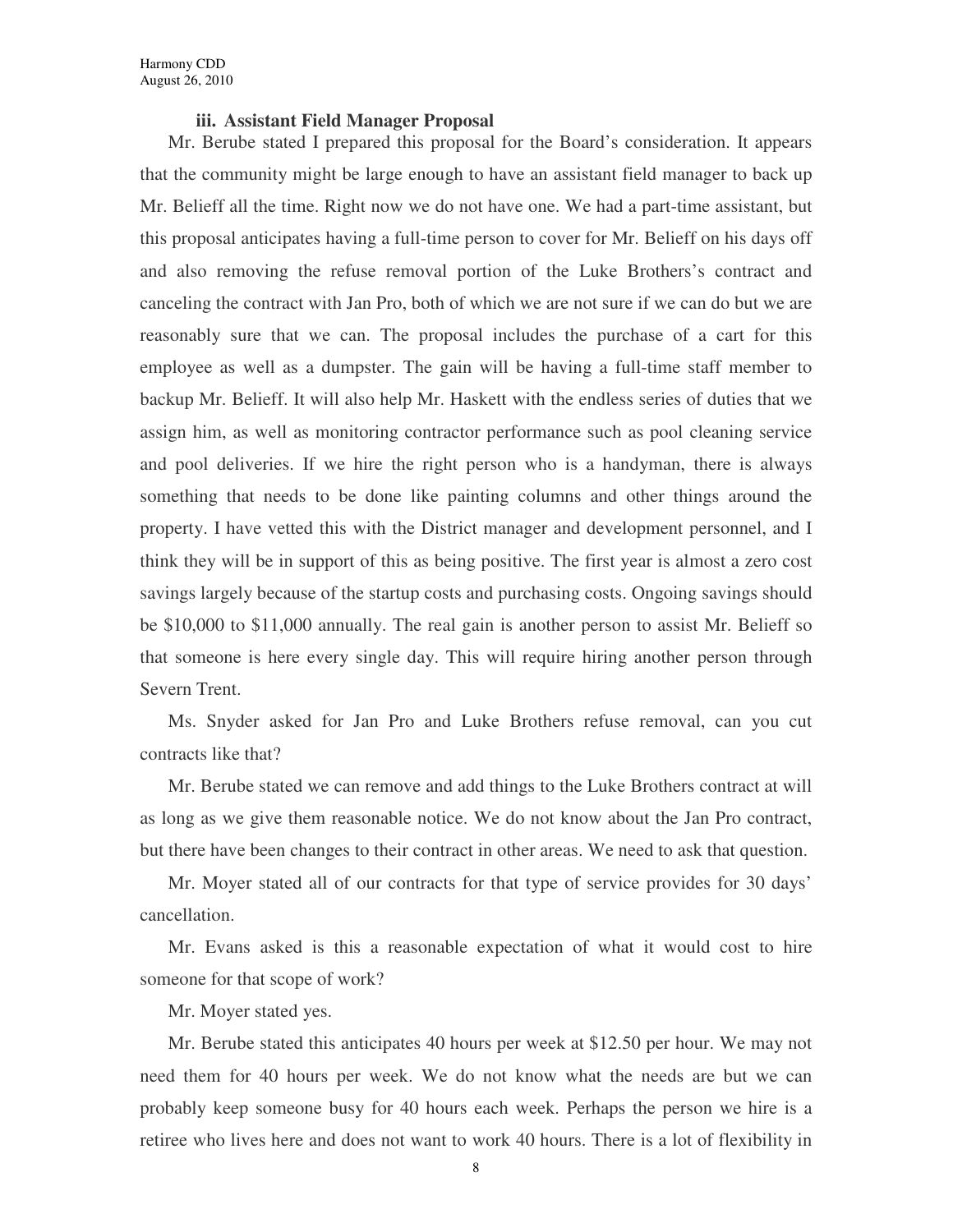#### **iii. Assistant Field Manager Proposal**

Mr. Berube stated I prepared this proposal for the Board's consideration. It appears that the community might be large enough to have an assistant field manager to back up Mr. Belieff all the time. Right now we do not have one. We had a part-time assistant, but this proposal anticipates having a full-time person to cover for Mr. Belieff on his days off and also removing the refuse removal portion of the Luke Brothers's contract and canceling the contract with Jan Pro, both of which we are not sure if we can do but we are reasonably sure that we can. The proposal includes the purchase of a cart for this employee as well as a dumpster. The gain will be having a full-time staff member to backup Mr. Belieff. It will also help Mr. Haskett with the endless series of duties that we assign him, as well as monitoring contractor performance such as pool cleaning service and pool deliveries. If we hire the right person who is a handyman, there is always something that needs to be done like painting columns and other things around the property. I have vetted this with the District manager and development personnel, and I think they will be in support of this as being positive. The first year is almost a zero cost savings largely because of the startup costs and purchasing costs. Ongoing savings should be \$10,000 to \$11,000 annually. The real gain is another person to assist Mr. Belieff so that someone is here every single day. This will require hiring another person through Severn Trent.

Ms. Snyder asked for Jan Pro and Luke Brothers refuse removal, can you cut contracts like that?

Mr. Berube stated we can remove and add things to the Luke Brothers contract at will as long as we give them reasonable notice. We do not know about the Jan Pro contract, but there have been changes to their contract in other areas. We need to ask that question.

Mr. Moyer stated all of our contracts for that type of service provides for 30 days' cancellation.

Mr. Evans asked is this a reasonable expectation of what it would cost to hire someone for that scope of work?

Mr. Moyer stated yes.

Mr. Berube stated this anticipates 40 hours per week at \$12.50 per hour. We may not need them for 40 hours per week. We do not know what the needs are but we can probably keep someone busy for 40 hours each week. Perhaps the person we hire is a retiree who lives here and does not want to work 40 hours. There is a lot of flexibility in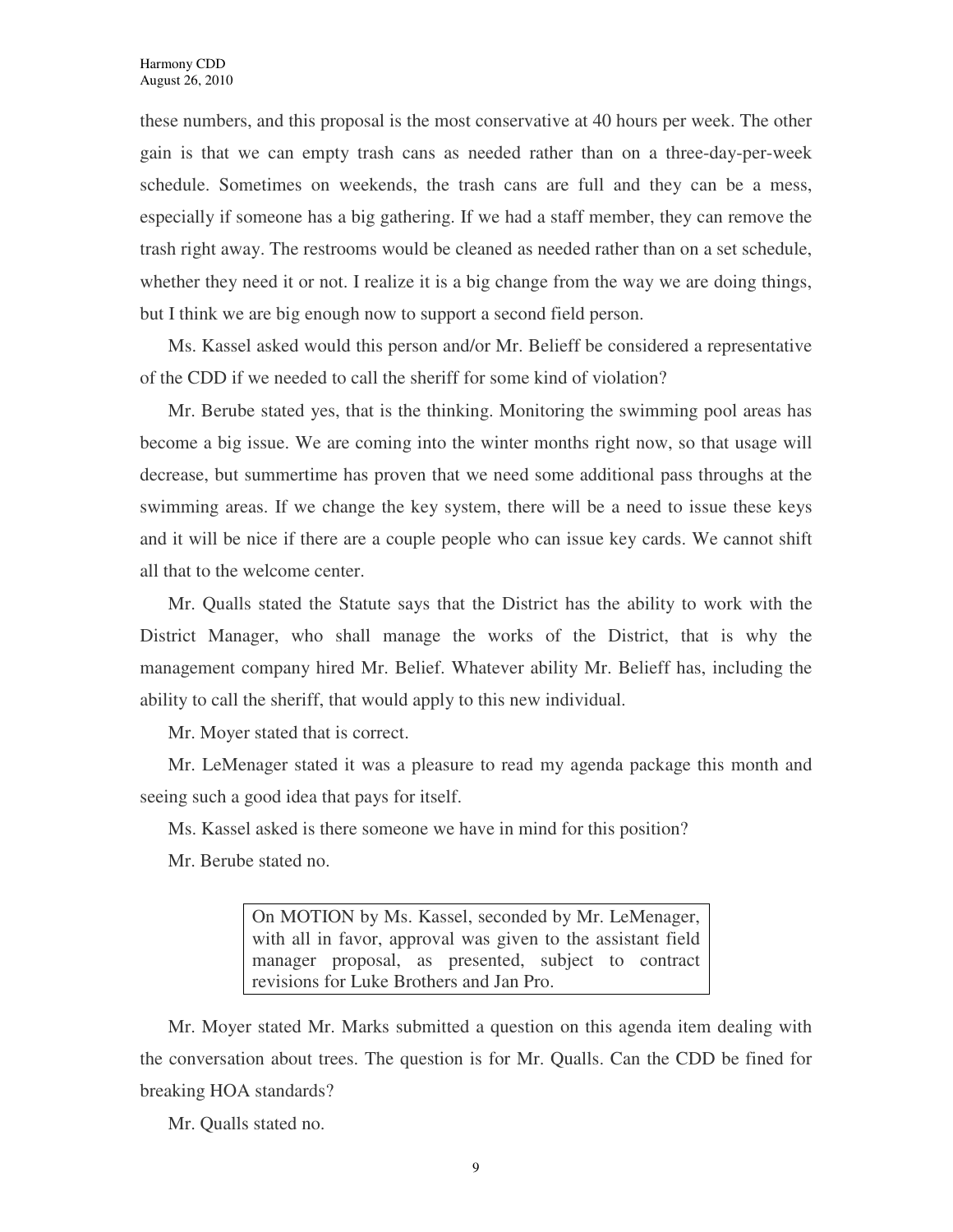these numbers, and this proposal is the most conservative at 40 hours per week. The other gain is that we can empty trash cans as needed rather than on a three-day-per-week schedule. Sometimes on weekends, the trash cans are full and they can be a mess, especially if someone has a big gathering. If we had a staff member, they can remove the trash right away. The restrooms would be cleaned as needed rather than on a set schedule, whether they need it or not. I realize it is a big change from the way we are doing things, but I think we are big enough now to support a second field person.

Ms. Kassel asked would this person and/or Mr. Belieff be considered a representative of the CDD if we needed to call the sheriff for some kind of violation?

Mr. Berube stated yes, that is the thinking. Monitoring the swimming pool areas has become a big issue. We are coming into the winter months right now, so that usage will decrease, but summertime has proven that we need some additional pass throughs at the swimming areas. If we change the key system, there will be a need to issue these keys and it will be nice if there are a couple people who can issue key cards. We cannot shift all that to the welcome center.

Mr. Qualls stated the Statute says that the District has the ability to work with the District Manager, who shall manage the works of the District, that is why the management company hired Mr. Belief. Whatever ability Mr. Belieff has, including the ability to call the sheriff, that would apply to this new individual.

Mr. Moyer stated that is correct.

Mr. LeMenager stated it was a pleasure to read my agenda package this month and seeing such a good idea that pays for itself.

Ms. Kassel asked is there someone we have in mind for this position?

Mr. Berube stated no.

On MOTION by Ms. Kassel, seconded by Mr. LeMenager, with all in favor, approval was given to the assistant field manager proposal, as presented, subject to contract revisions for Luke Brothers and Jan Pro.

Mr. Moyer stated Mr. Marks submitted a question on this agenda item dealing with the conversation about trees. The question is for Mr. Qualls. Can the CDD be fined for breaking HOA standards?

Mr. Qualls stated no.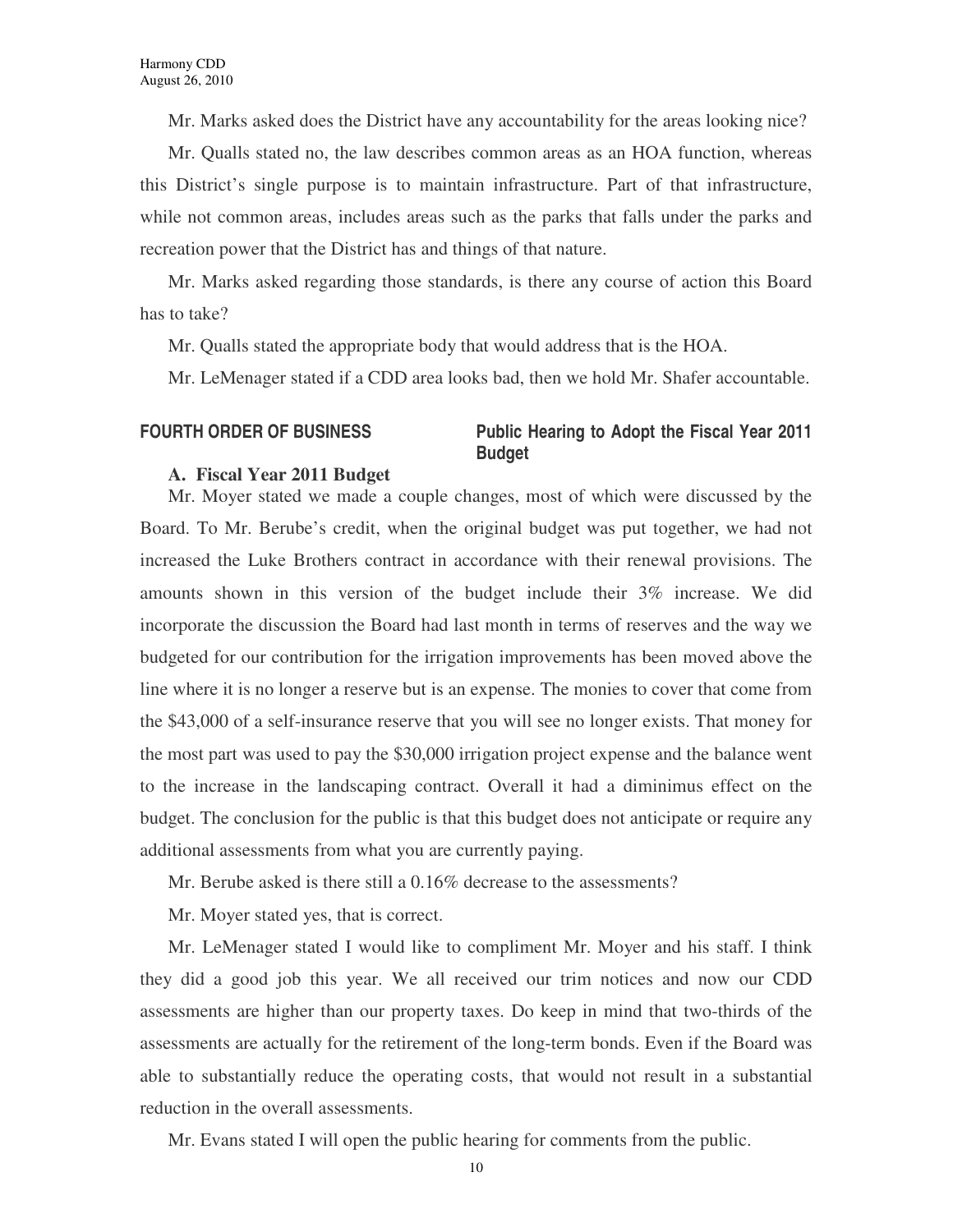Mr. Marks asked does the District have any accountability for the areas looking nice?

Mr. Qualls stated no, the law describes common areas as an HOA function, whereas this District's single purpose is to maintain infrastructure. Part of that infrastructure, while not common areas, includes areas such as the parks that falls under the parks and recreation power that the District has and things of that nature.

Mr. Marks asked regarding those standards, is there any course of action this Board has to take?

Mr. Qualls stated the appropriate body that would address that is the HOA.

Mr. LeMenager stated if a CDD area looks bad, then we hold Mr. Shafer accountable.

## FOURTH ORDER OF BUSINESS Public Hearing to Adopt the Fiscal Year 2011 **Budget**

#### **A. Fiscal Year 2011 Budget**

Mr. Moyer stated we made a couple changes, most of which were discussed by the Board. To Mr. Berube's credit, when the original budget was put together, we had not increased the Luke Brothers contract in accordance with their renewal provisions. The amounts shown in this version of the budget include their 3% increase. We did incorporate the discussion the Board had last month in terms of reserves and the way we budgeted for our contribution for the irrigation improvements has been moved above the line where it is no longer a reserve but is an expense. The monies to cover that come from the \$43,000 of a self-insurance reserve that you will see no longer exists. That money for the most part was used to pay the \$30,000 irrigation project expense and the balance went to the increase in the landscaping contract. Overall it had a diminimus effect on the budget. The conclusion for the public is that this budget does not anticipate or require any additional assessments from what you are currently paying.

Mr. Berube asked is there still a 0.16% decrease to the assessments?

Mr. Moyer stated yes, that is correct.

Mr. LeMenager stated I would like to compliment Mr. Moyer and his staff. I think they did a good job this year. We all received our trim notices and now our CDD assessments are higher than our property taxes. Do keep in mind that two-thirds of the assessments are actually for the retirement of the long-term bonds. Even if the Board was able to substantially reduce the operating costs, that would not result in a substantial reduction in the overall assessments.

Mr. Evans stated I will open the public hearing for comments from the public.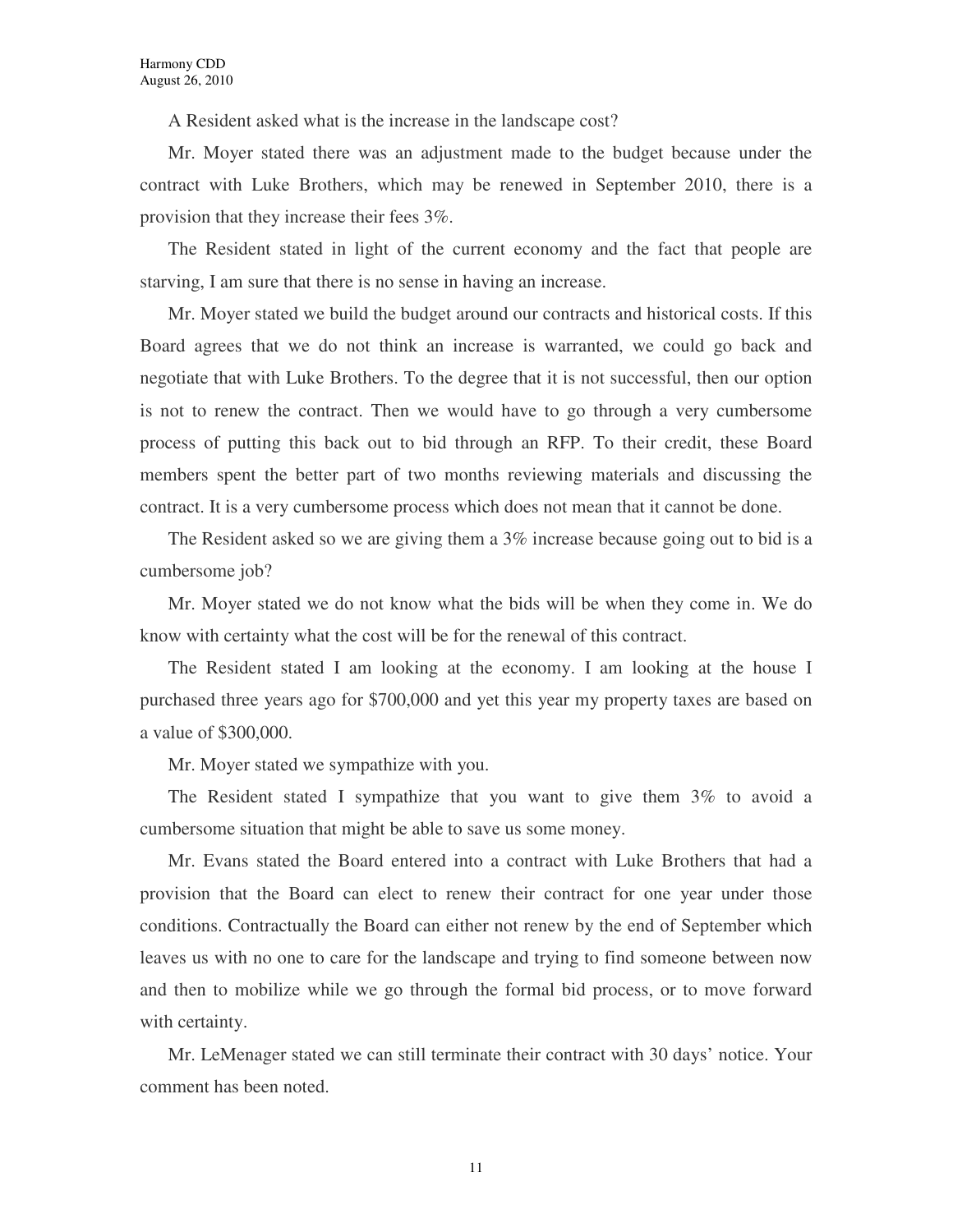A Resident asked what is the increase in the landscape cost?

Mr. Moyer stated there was an adjustment made to the budget because under the contract with Luke Brothers, which may be renewed in September 2010, there is a provision that they increase their fees 3%.

The Resident stated in light of the current economy and the fact that people are starving, I am sure that there is no sense in having an increase.

Mr. Moyer stated we build the budget around our contracts and historical costs. If this Board agrees that we do not think an increase is warranted, we could go back and negotiate that with Luke Brothers. To the degree that it is not successful, then our option is not to renew the contract. Then we would have to go through a very cumbersome process of putting this back out to bid through an RFP. To their credit, these Board members spent the better part of two months reviewing materials and discussing the contract. It is a very cumbersome process which does not mean that it cannot be done.

The Resident asked so we are giving them a 3% increase because going out to bid is a cumbersome job?

Mr. Moyer stated we do not know what the bids will be when they come in. We do know with certainty what the cost will be for the renewal of this contract.

The Resident stated I am looking at the economy. I am looking at the house I purchased three years ago for \$700,000 and yet this year my property taxes are based on a value of \$300,000.

Mr. Moyer stated we sympathize with you.

The Resident stated I sympathize that you want to give them 3% to avoid a cumbersome situation that might be able to save us some money.

Mr. Evans stated the Board entered into a contract with Luke Brothers that had a provision that the Board can elect to renew their contract for one year under those conditions. Contractually the Board can either not renew by the end of September which leaves us with no one to care for the landscape and trying to find someone between now and then to mobilize while we go through the formal bid process, or to move forward with certainty.

Mr. LeMenager stated we can still terminate their contract with 30 days' notice. Your comment has been noted.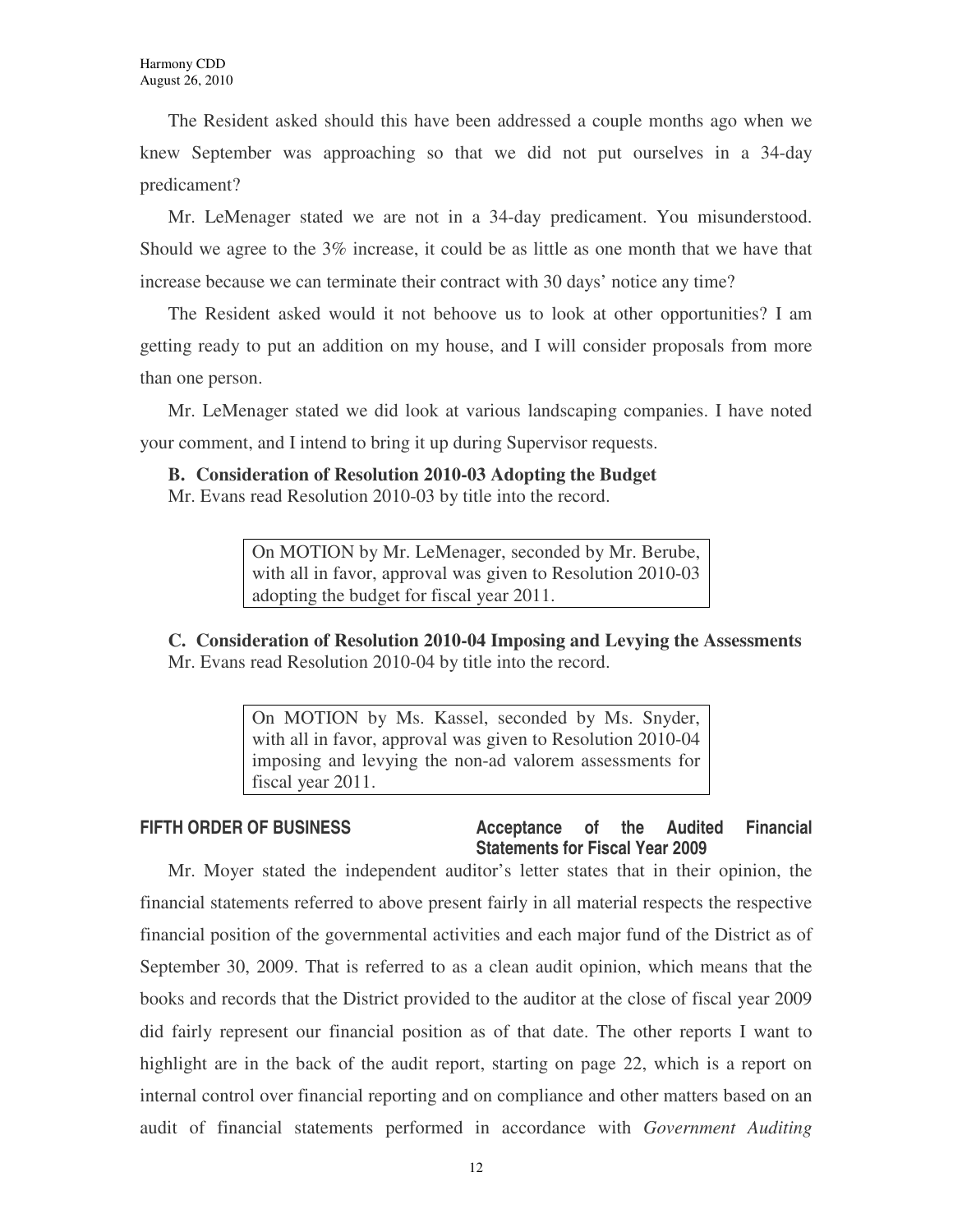The Resident asked should this have been addressed a couple months ago when we knew September was approaching so that we did not put ourselves in a 34-day predicament?

Mr. LeMenager stated we are not in a 34-day predicament. You misunderstood. Should we agree to the 3% increase, it could be as little as one month that we have that increase because we can terminate their contract with 30 days' notice any time?

The Resident asked would it not behoove us to look at other opportunities? I am getting ready to put an addition on my house, and I will consider proposals from more than one person.

Mr. LeMenager stated we did look at various landscaping companies. I have noted your comment, and I intend to bring it up during Supervisor requests.

### **B. Consideration of Resolution 2010-03 Adopting the Budget**

Mr. Evans read Resolution 2010-03 by title into the record.

On MOTION by Mr. LeMenager, seconded by Mr. Berube, with all in favor, approval was given to Resolution 2010-03 adopting the budget for fiscal year 2011.

**C. Consideration of Resolution 2010-04 Imposing and Levying the Assessments**  Mr. Evans read Resolution 2010-04 by title into the record.

> On MOTION by Ms. Kassel, seconded by Ms. Snyder, with all in favor, approval was given to Resolution 2010-04 imposing and levying the non-ad valorem assessments for fiscal year 2011.

## **FIFTH ORDER OF BUSINESS Acceptance of the Audited Financial Statements for Fiscal Year 2009**

Mr. Moyer stated the independent auditor's letter states that in their opinion, the financial statements referred to above present fairly in all material respects the respective financial position of the governmental activities and each major fund of the District as of September 30, 2009. That is referred to as a clean audit opinion, which means that the books and records that the District provided to the auditor at the close of fiscal year 2009 did fairly represent our financial position as of that date. The other reports I want to highlight are in the back of the audit report, starting on page 22, which is a report on internal control over financial reporting and on compliance and other matters based on an audit of financial statements performed in accordance with *Government Auditing*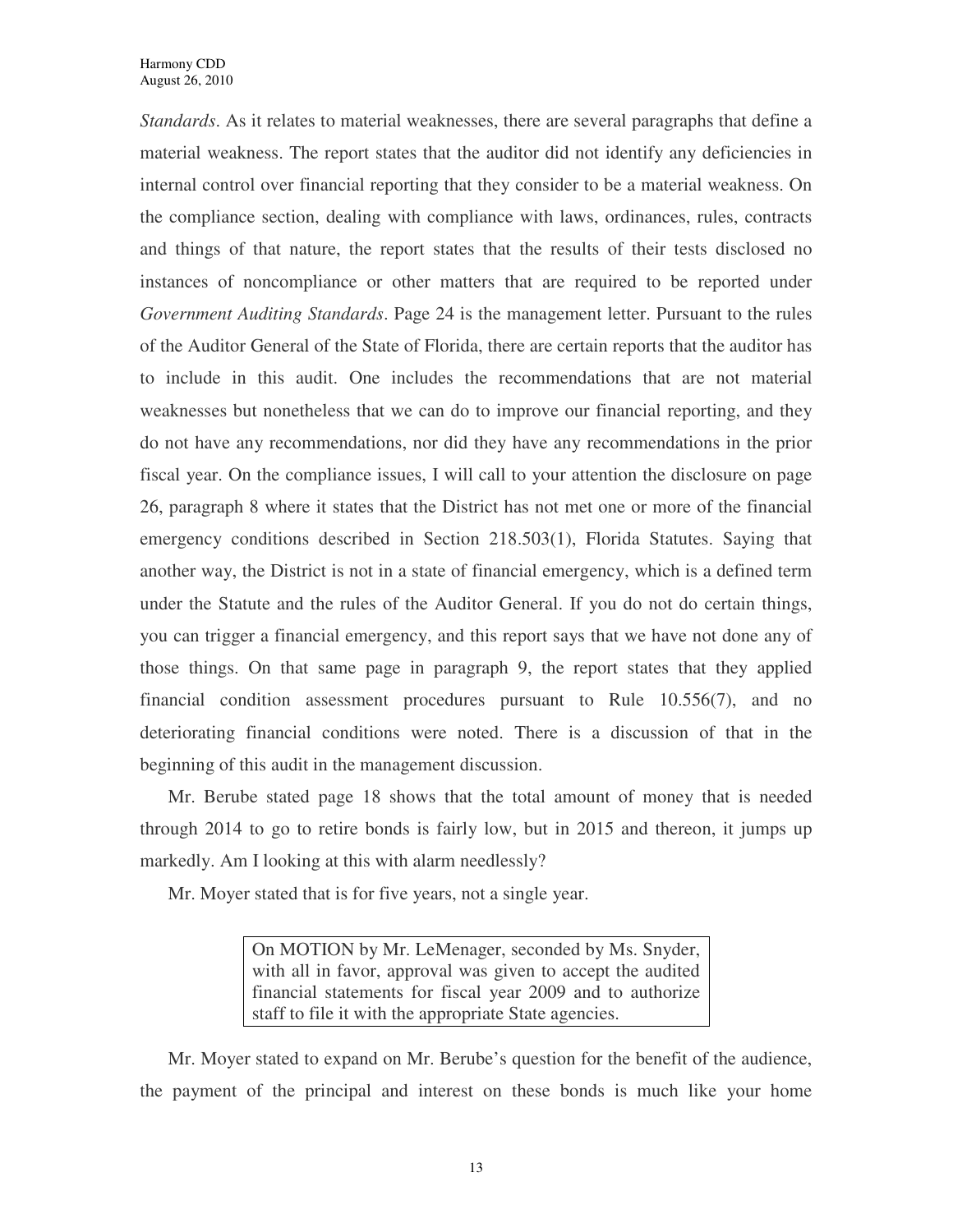*Standards*. As it relates to material weaknesses, there are several paragraphs that define a material weakness. The report states that the auditor did not identify any deficiencies in internal control over financial reporting that they consider to be a material weakness. On the compliance section, dealing with compliance with laws, ordinances, rules, contracts and things of that nature, the report states that the results of their tests disclosed no instances of noncompliance or other matters that are required to be reported under *Government Auditing Standards*. Page 24 is the management letter. Pursuant to the rules of the Auditor General of the State of Florida, there are certain reports that the auditor has to include in this audit. One includes the recommendations that are not material weaknesses but nonetheless that we can do to improve our financial reporting, and they do not have any recommendations, nor did they have any recommendations in the prior fiscal year. On the compliance issues, I will call to your attention the disclosure on page 26, paragraph 8 where it states that the District has not met one or more of the financial emergency conditions described in Section 218.503(1), Florida Statutes. Saying that another way, the District is not in a state of financial emergency, which is a defined term under the Statute and the rules of the Auditor General. If you do not do certain things, you can trigger a financial emergency, and this report says that we have not done any of those things. On that same page in paragraph 9, the report states that they applied financial condition assessment procedures pursuant to Rule 10.556(7), and no deteriorating financial conditions were noted. There is a discussion of that in the beginning of this audit in the management discussion.

Mr. Berube stated page 18 shows that the total amount of money that is needed through 2014 to go to retire bonds is fairly low, but in 2015 and thereon, it jumps up markedly. Am I looking at this with alarm needlessly?

Mr. Moyer stated that is for five years, not a single year.

On MOTION by Mr. LeMenager, seconded by Ms. Snyder, with all in favor, approval was given to accept the audited financial statements for fiscal year 2009 and to authorize staff to file it with the appropriate State agencies.

Mr. Moyer stated to expand on Mr. Berube's question for the benefit of the audience, the payment of the principal and interest on these bonds is much like your home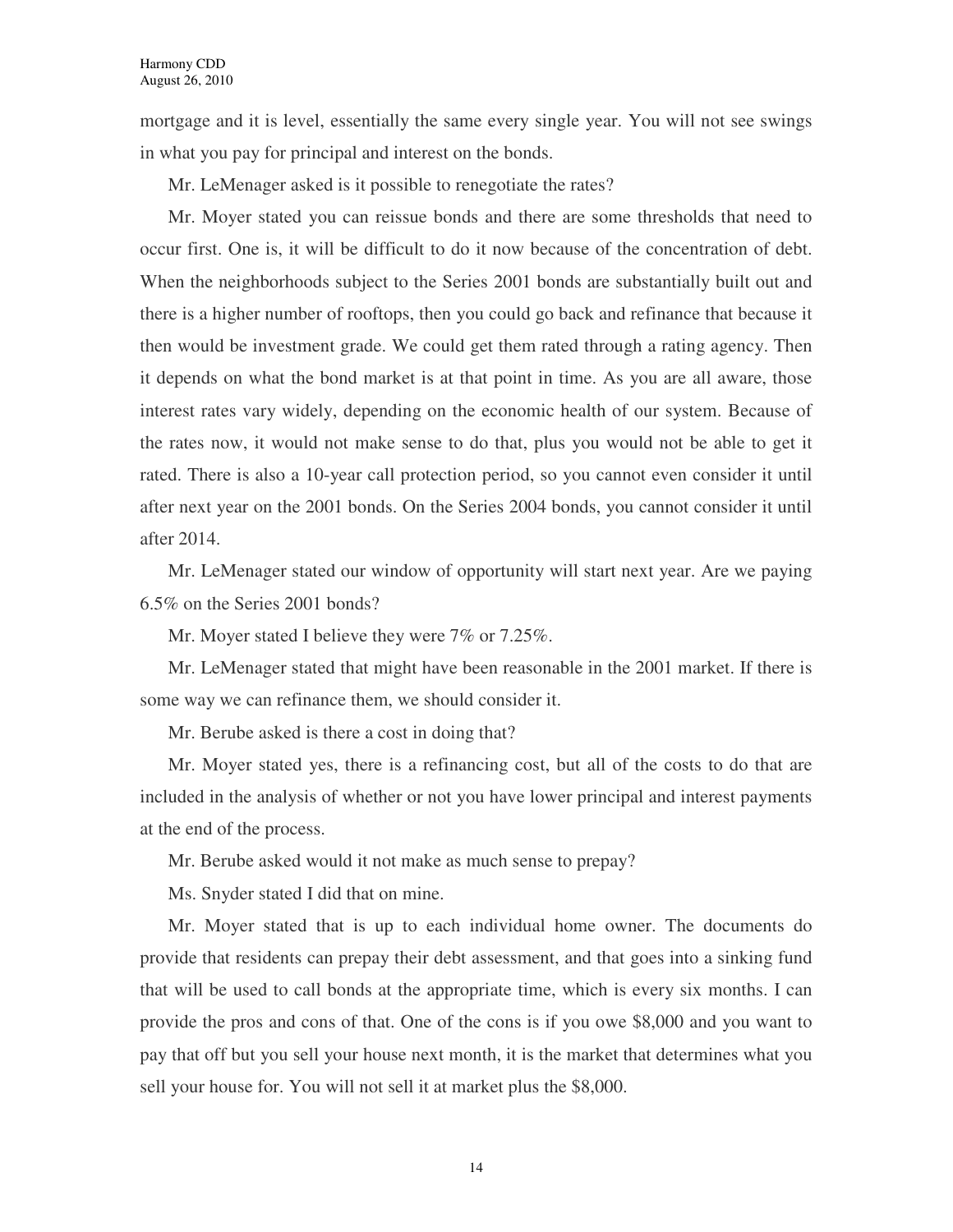mortgage and it is level, essentially the same every single year. You will not see swings in what you pay for principal and interest on the bonds.

Mr. LeMenager asked is it possible to renegotiate the rates?

Mr. Moyer stated you can reissue bonds and there are some thresholds that need to occur first. One is, it will be difficult to do it now because of the concentration of debt. When the neighborhoods subject to the Series 2001 bonds are substantially built out and there is a higher number of rooftops, then you could go back and refinance that because it then would be investment grade. We could get them rated through a rating agency. Then it depends on what the bond market is at that point in time. As you are all aware, those interest rates vary widely, depending on the economic health of our system. Because of the rates now, it would not make sense to do that, plus you would not be able to get it rated. There is also a 10-year call protection period, so you cannot even consider it until after next year on the 2001 bonds. On the Series 2004 bonds, you cannot consider it until after 2014.

Mr. LeMenager stated our window of opportunity will start next year. Are we paying 6.5% on the Series 2001 bonds?

Mr. Moyer stated I believe they were 7% or 7.25%.

Mr. LeMenager stated that might have been reasonable in the 2001 market. If there is some way we can refinance them, we should consider it.

Mr. Berube asked is there a cost in doing that?

Mr. Moyer stated yes, there is a refinancing cost, but all of the costs to do that are included in the analysis of whether or not you have lower principal and interest payments at the end of the process.

Mr. Berube asked would it not make as much sense to prepay?

Ms. Snyder stated I did that on mine.

Mr. Moyer stated that is up to each individual home owner. The documents do provide that residents can prepay their debt assessment, and that goes into a sinking fund that will be used to call bonds at the appropriate time, which is every six months. I can provide the pros and cons of that. One of the cons is if you owe \$8,000 and you want to pay that off but you sell your house next month, it is the market that determines what you sell your house for. You will not sell it at market plus the \$8,000.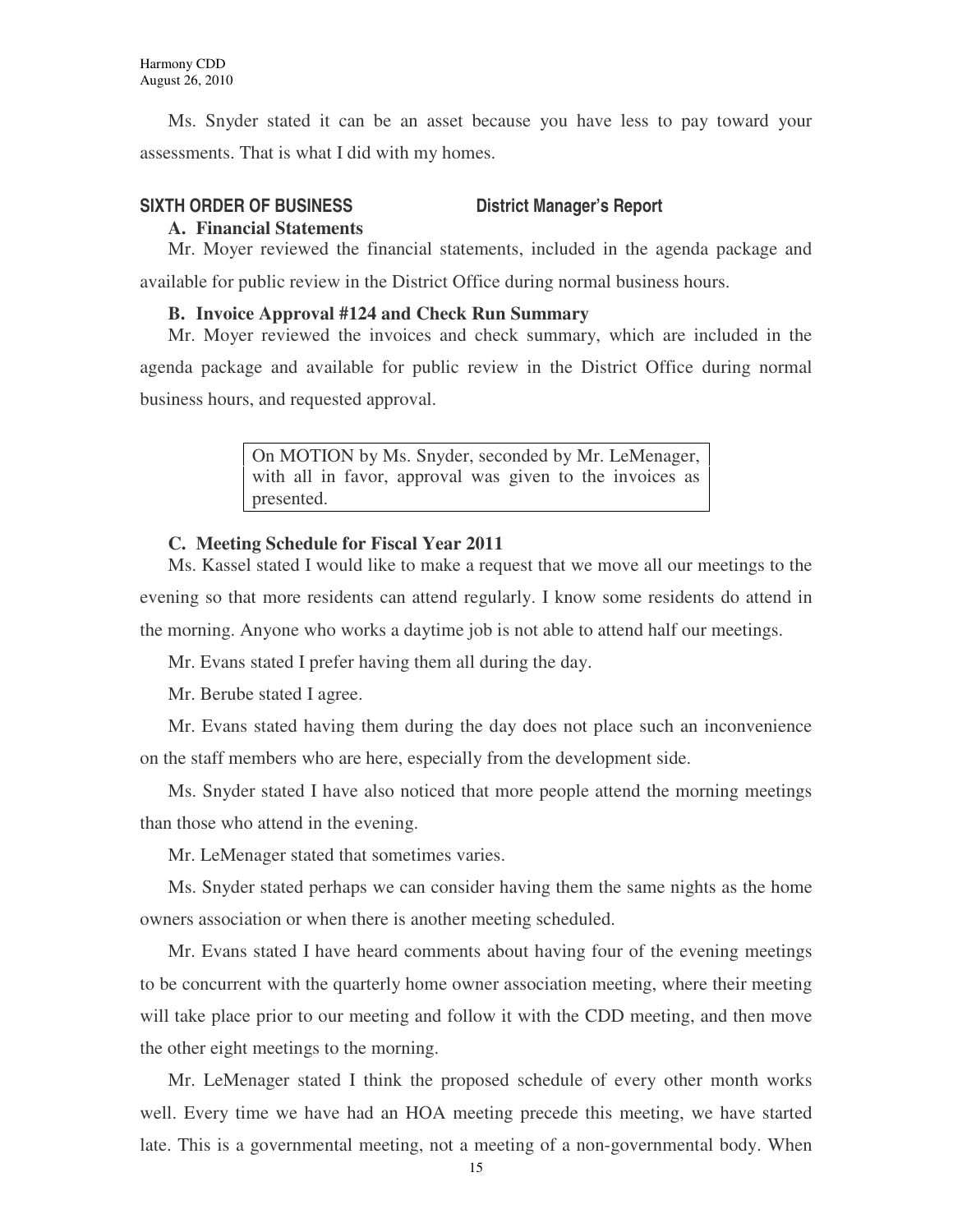Ms. Snyder stated it can be an asset because you have less to pay toward your assessments. That is what I did with my homes.

## **SIXTH ORDER OF BUSINESS District Manager's Report**

### **A. Financial Statements**

Mr. Moyer reviewed the financial statements, included in the agenda package and

available for public review in the District Office during normal business hours.

## **B. Invoice Approval #124 and Check Run Summary**

Mr. Moyer reviewed the invoices and check summary, which are included in the agenda package and available for public review in the District Office during normal business hours, and requested approval.

> On MOTION by Ms. Snyder, seconded by Mr. LeMenager, with all in favor, approval was given to the invoices as presented.

## **C. Meeting Schedule for Fiscal Year 2011**

Ms. Kassel stated I would like to make a request that we move all our meetings to the evening so that more residents can attend regularly. I know some residents do attend in the morning. Anyone who works a daytime job is not able to attend half our meetings.

Mr. Evans stated I prefer having them all during the day.

Mr. Berube stated I agree.

Mr. Evans stated having them during the day does not place such an inconvenience on the staff members who are here, especially from the development side.

Ms. Snyder stated I have also noticed that more people attend the morning meetings than those who attend in the evening.

Mr. LeMenager stated that sometimes varies.

Ms. Snyder stated perhaps we can consider having them the same nights as the home owners association or when there is another meeting scheduled.

Mr. Evans stated I have heard comments about having four of the evening meetings to be concurrent with the quarterly home owner association meeting, where their meeting will take place prior to our meeting and follow it with the CDD meeting, and then move the other eight meetings to the morning.

Mr. LeMenager stated I think the proposed schedule of every other month works well. Every time we have had an HOA meeting precede this meeting, we have started late. This is a governmental meeting, not a meeting of a non-governmental body. When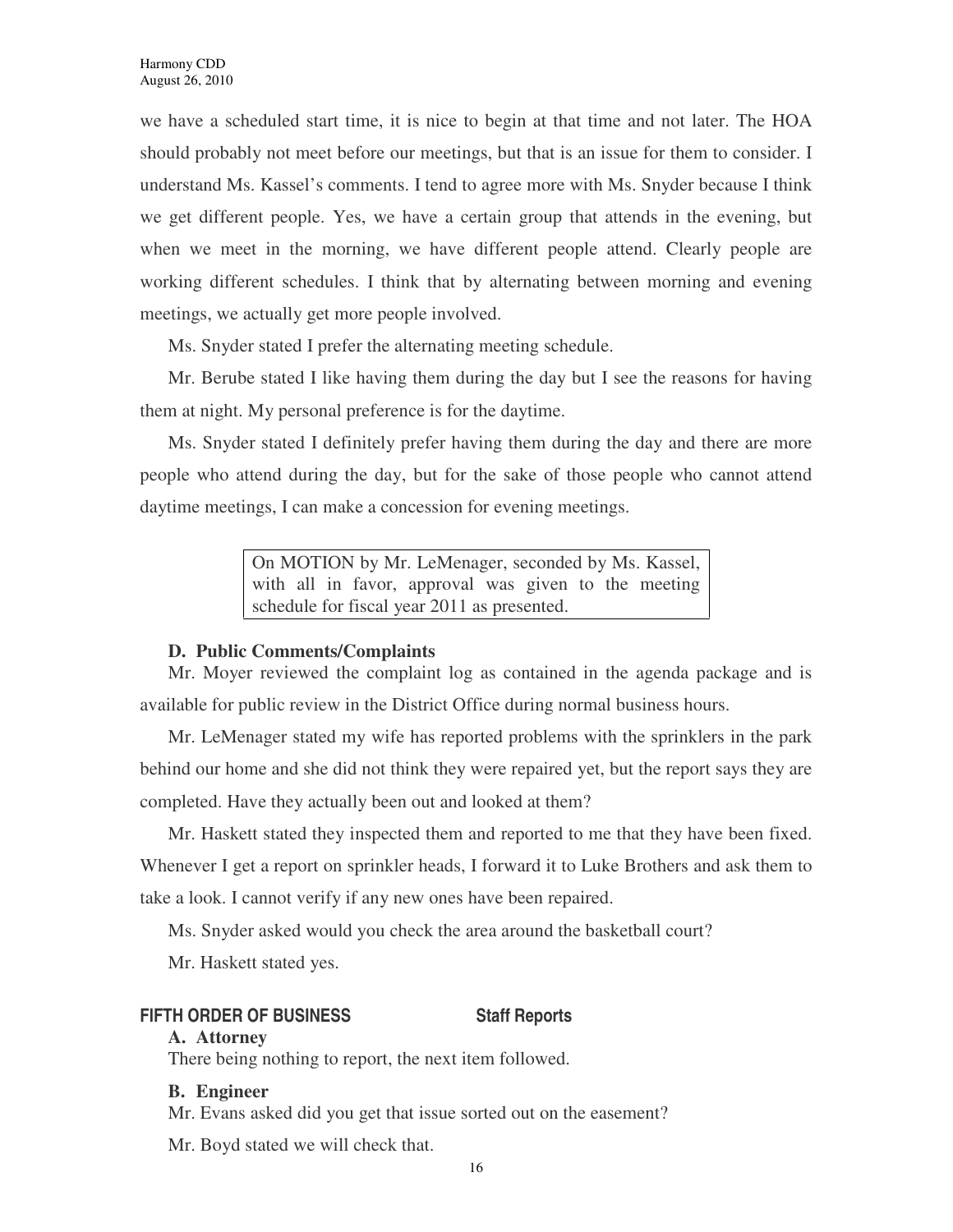we have a scheduled start time, it is nice to begin at that time and not later. The HOA should probably not meet before our meetings, but that is an issue for them to consider. I understand Ms. Kassel's comments. I tend to agree more with Ms. Snyder because I think we get different people. Yes, we have a certain group that attends in the evening, but when we meet in the morning, we have different people attend. Clearly people are working different schedules. I think that by alternating between morning and evening meetings, we actually get more people involved.

Ms. Snyder stated I prefer the alternating meeting schedule.

Mr. Berube stated I like having them during the day but I see the reasons for having them at night. My personal preference is for the daytime.

Ms. Snyder stated I definitely prefer having them during the day and there are more people who attend during the day, but for the sake of those people who cannot attend daytime meetings, I can make a concession for evening meetings.

> On MOTION by Mr. LeMenager, seconded by Ms. Kassel, with all in favor, approval was given to the meeting schedule for fiscal year 2011 as presented.

## **D. Public Comments/Complaints**

Mr. Moyer reviewed the complaint log as contained in the agenda package and is available for public review in the District Office during normal business hours.

Mr. LeMenager stated my wife has reported problems with the sprinklers in the park behind our home and she did not think they were repaired yet, but the report says they are completed. Have they actually been out and looked at them?

Mr. Haskett stated they inspected them and reported to me that they have been fixed. Whenever I get a report on sprinkler heads, I forward it to Luke Brothers and ask them to take a look. I cannot verify if any new ones have been repaired.

Ms. Snyder asked would you check the area around the basketball court?

Mr. Haskett stated yes.

## **FIFTH ORDER OF BUSINESS Staff Reports**

## **A. Attorney**

There being nothing to report, the next item followed.

## **B. Engineer**

Mr. Evans asked did you get that issue sorted out on the easement?

Mr. Boyd stated we will check that.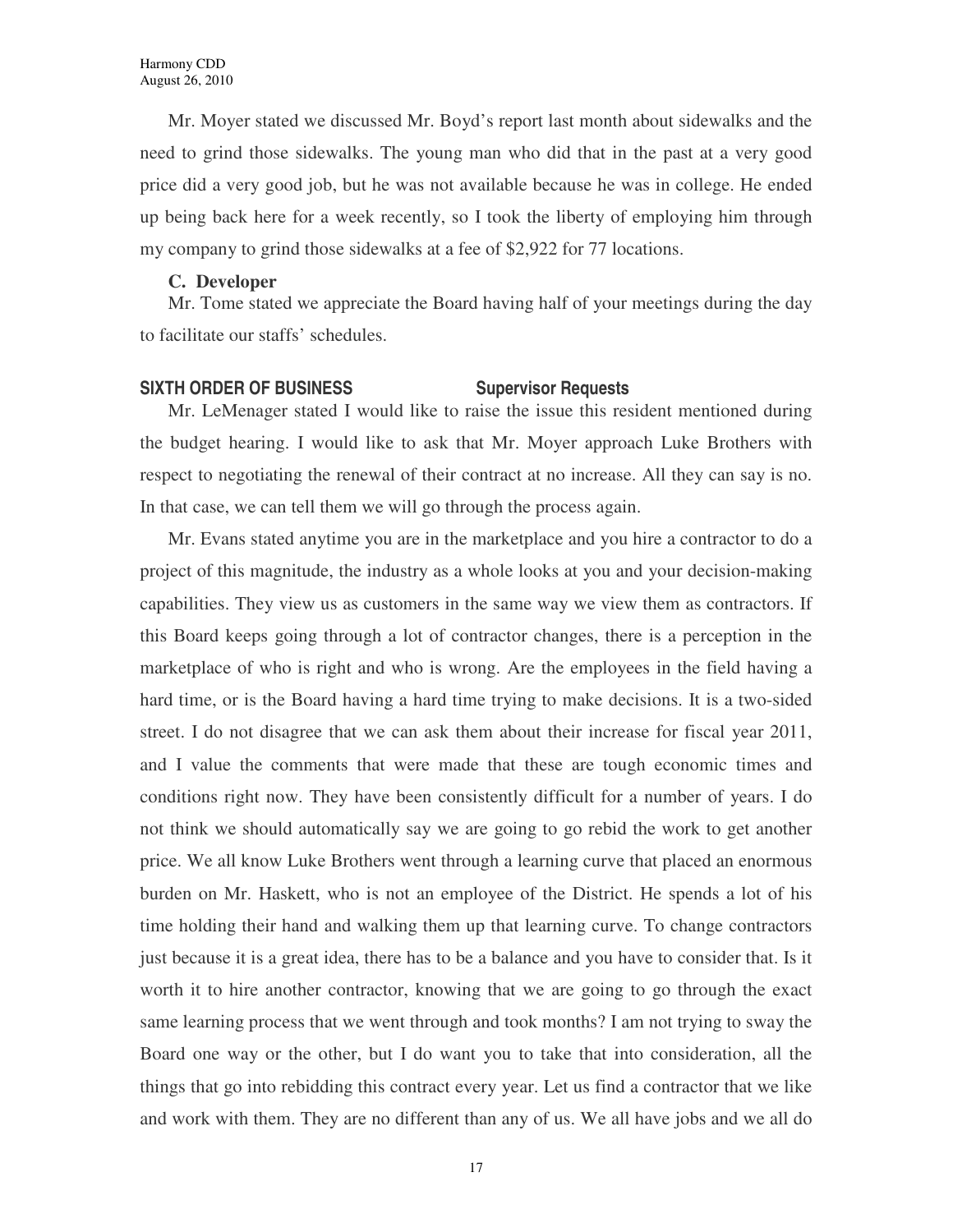Mr. Moyer stated we discussed Mr. Boyd's report last month about sidewalks and the need to grind those sidewalks. The young man who did that in the past at a very good price did a very good job, but he was not available because he was in college. He ended up being back here for a week recently, so I took the liberty of employing him through my company to grind those sidewalks at a fee of \$2,922 for 77 locations.

#### **C. Developer**

Mr. Tome stated we appreciate the Board having half of your meetings during the day to facilitate our staffs' schedules.

### **SIXTH ORDER OF BUSINESS Supervisor Requests**

Mr. LeMenager stated I would like to raise the issue this resident mentioned during the budget hearing. I would like to ask that Mr. Moyer approach Luke Brothers with respect to negotiating the renewal of their contract at no increase. All they can say is no. In that case, we can tell them we will go through the process again.

Mr. Evans stated anytime you are in the marketplace and you hire a contractor to do a project of this magnitude, the industry as a whole looks at you and your decision-making capabilities. They view us as customers in the same way we view them as contractors. If this Board keeps going through a lot of contractor changes, there is a perception in the marketplace of who is right and who is wrong. Are the employees in the field having a hard time, or is the Board having a hard time trying to make decisions. It is a two-sided street. I do not disagree that we can ask them about their increase for fiscal year 2011, and I value the comments that were made that these are tough economic times and conditions right now. They have been consistently difficult for a number of years. I do not think we should automatically say we are going to go rebid the work to get another price. We all know Luke Brothers went through a learning curve that placed an enormous burden on Mr. Haskett, who is not an employee of the District. He spends a lot of his time holding their hand and walking them up that learning curve. To change contractors just because it is a great idea, there has to be a balance and you have to consider that. Is it worth it to hire another contractor, knowing that we are going to go through the exact same learning process that we went through and took months? I am not trying to sway the Board one way or the other, but I do want you to take that into consideration, all the things that go into rebidding this contract every year. Let us find a contractor that we like and work with them. They are no different than any of us. We all have jobs and we all do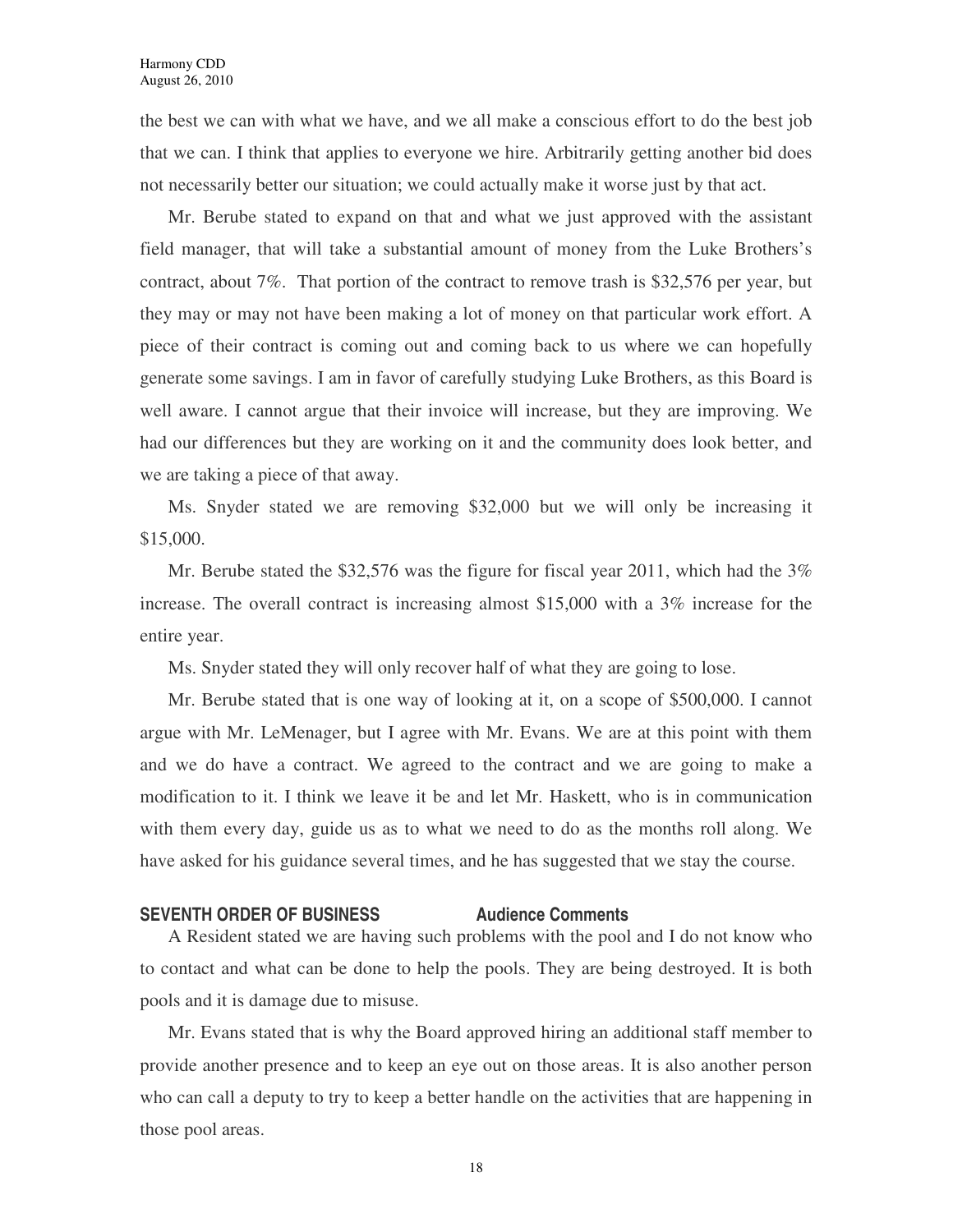the best we can with what we have, and we all make a conscious effort to do the best job that we can. I think that applies to everyone we hire. Arbitrarily getting another bid does not necessarily better our situation; we could actually make it worse just by that act.

Mr. Berube stated to expand on that and what we just approved with the assistant field manager, that will take a substantial amount of money from the Luke Brothers's contract, about 7%. That portion of the contract to remove trash is \$32,576 per year, but they may or may not have been making a lot of money on that particular work effort. A piece of their contract is coming out and coming back to us where we can hopefully generate some savings. I am in favor of carefully studying Luke Brothers, as this Board is well aware. I cannot argue that their invoice will increase, but they are improving. We had our differences but they are working on it and the community does look better, and we are taking a piece of that away.

Ms. Snyder stated we are removing \$32,000 but we will only be increasing it \$15,000.

Mr. Berube stated the \$32,576 was the figure for fiscal year 2011, which had the 3% increase. The overall contract is increasing almost \$15,000 with a 3% increase for the entire year.

Ms. Snyder stated they will only recover half of what they are going to lose.

Mr. Berube stated that is one way of looking at it, on a scope of \$500,000. I cannot argue with Mr. LeMenager, but I agree with Mr. Evans. We are at this point with them and we do have a contract. We agreed to the contract and we are going to make a modification to it. I think we leave it be and let Mr. Haskett, who is in communication with them every day, guide us as to what we need to do as the months roll along. We have asked for his guidance several times, and he has suggested that we stay the course.

## **SEVENTH ORDER OF BUSINESS Audience Comments**

A Resident stated we are having such problems with the pool and I do not know who to contact and what can be done to help the pools. They are being destroyed. It is both pools and it is damage due to misuse.

Mr. Evans stated that is why the Board approved hiring an additional staff member to provide another presence and to keep an eye out on those areas. It is also another person who can call a deputy to try to keep a better handle on the activities that are happening in those pool areas.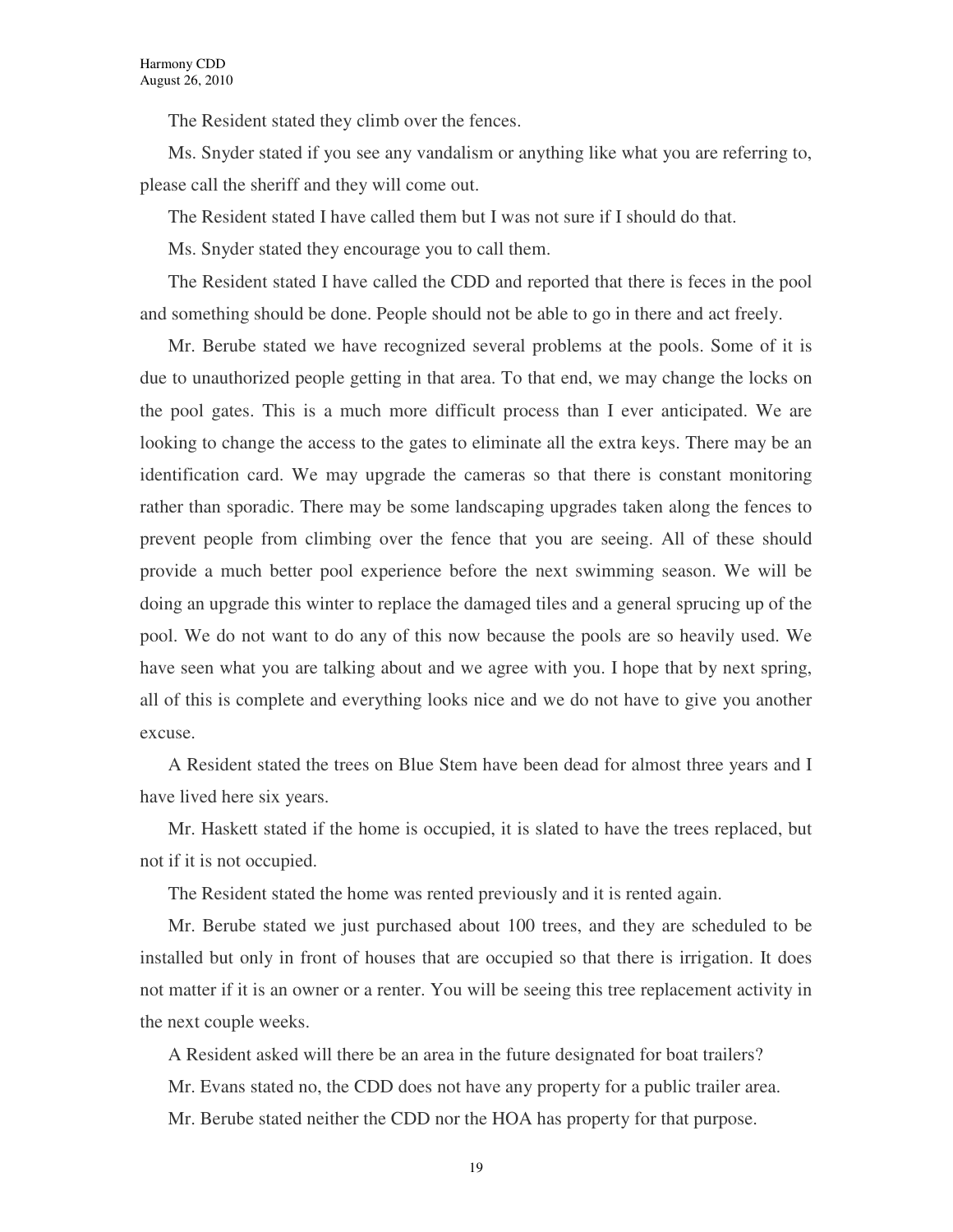The Resident stated they climb over the fences.

Ms. Snyder stated if you see any vandalism or anything like what you are referring to, please call the sheriff and they will come out.

The Resident stated I have called them but I was not sure if I should do that.

Ms. Snyder stated they encourage you to call them.

The Resident stated I have called the CDD and reported that there is feces in the pool and something should be done. People should not be able to go in there and act freely.

Mr. Berube stated we have recognized several problems at the pools. Some of it is due to unauthorized people getting in that area. To that end, we may change the locks on the pool gates. This is a much more difficult process than I ever anticipated. We are looking to change the access to the gates to eliminate all the extra keys. There may be an identification card. We may upgrade the cameras so that there is constant monitoring rather than sporadic. There may be some landscaping upgrades taken along the fences to prevent people from climbing over the fence that you are seeing. All of these should provide a much better pool experience before the next swimming season. We will be doing an upgrade this winter to replace the damaged tiles and a general sprucing up of the pool. We do not want to do any of this now because the pools are so heavily used. We have seen what you are talking about and we agree with you. I hope that by next spring, all of this is complete and everything looks nice and we do not have to give you another excuse.

A Resident stated the trees on Blue Stem have been dead for almost three years and I have lived here six years.

Mr. Haskett stated if the home is occupied, it is slated to have the trees replaced, but not if it is not occupied.

The Resident stated the home was rented previously and it is rented again.

Mr. Berube stated we just purchased about 100 trees, and they are scheduled to be installed but only in front of houses that are occupied so that there is irrigation. It does not matter if it is an owner or a renter. You will be seeing this tree replacement activity in the next couple weeks.

A Resident asked will there be an area in the future designated for boat trailers? Mr. Evans stated no, the CDD does not have any property for a public trailer area. Mr. Berube stated neither the CDD nor the HOA has property for that purpose.

19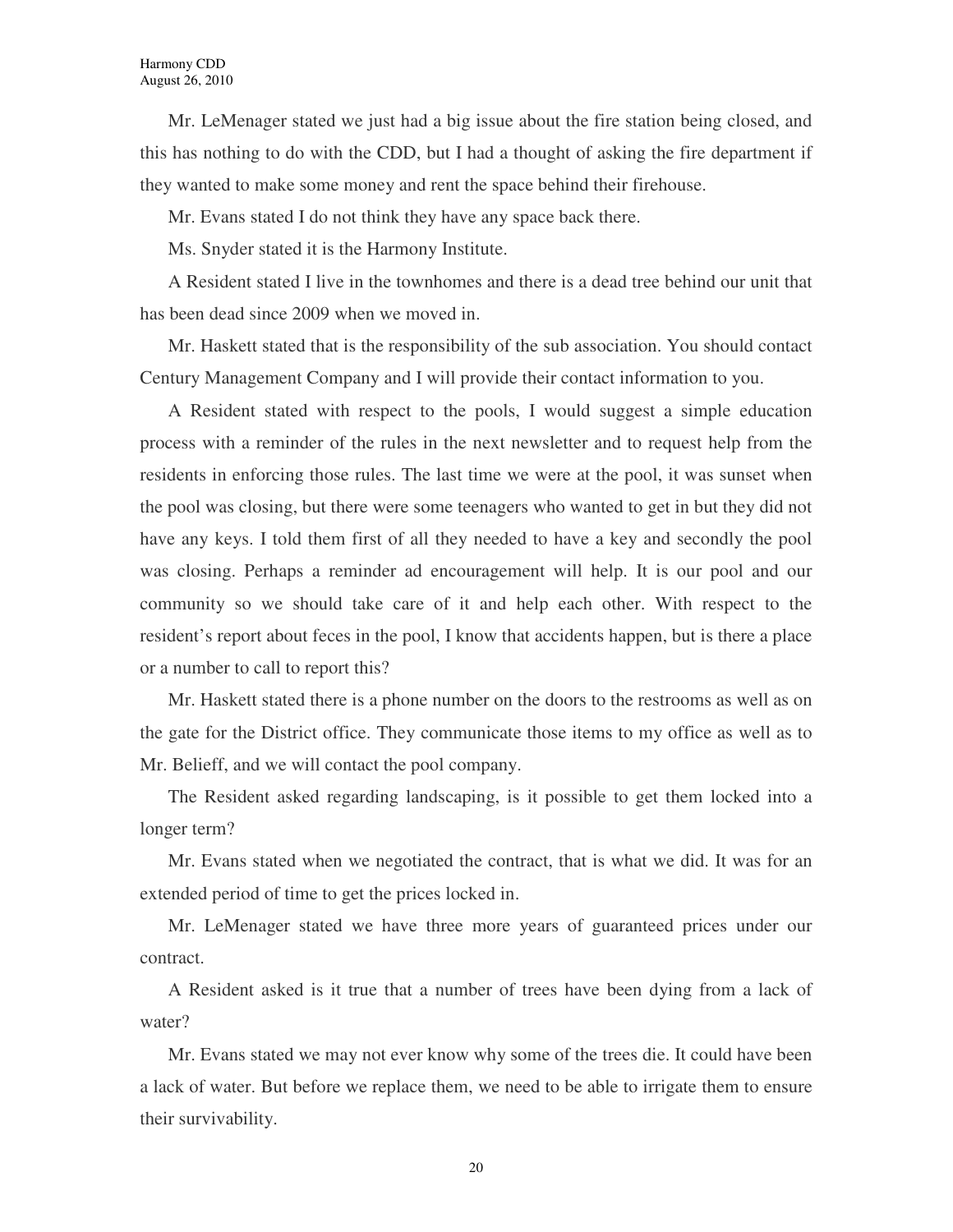Mr. LeMenager stated we just had a big issue about the fire station being closed, and this has nothing to do with the CDD, but I had a thought of asking the fire department if they wanted to make some money and rent the space behind their firehouse.

Mr. Evans stated I do not think they have any space back there.

Ms. Snyder stated it is the Harmony Institute.

A Resident stated I live in the townhomes and there is a dead tree behind our unit that has been dead since 2009 when we moved in.

Mr. Haskett stated that is the responsibility of the sub association. You should contact Century Management Company and I will provide their contact information to you.

A Resident stated with respect to the pools, I would suggest a simple education process with a reminder of the rules in the next newsletter and to request help from the residents in enforcing those rules. The last time we were at the pool, it was sunset when the pool was closing, but there were some teenagers who wanted to get in but they did not have any keys. I told them first of all they needed to have a key and secondly the pool was closing. Perhaps a reminder ad encouragement will help. It is our pool and our community so we should take care of it and help each other. With respect to the resident's report about feces in the pool, I know that accidents happen, but is there a place or a number to call to report this?

Mr. Haskett stated there is a phone number on the doors to the restrooms as well as on the gate for the District office. They communicate those items to my office as well as to Mr. Belieff, and we will contact the pool company.

The Resident asked regarding landscaping, is it possible to get them locked into a longer term?

Mr. Evans stated when we negotiated the contract, that is what we did. It was for an extended period of time to get the prices locked in.

Mr. LeMenager stated we have three more years of guaranteed prices under our contract.

A Resident asked is it true that a number of trees have been dying from a lack of water?

Mr. Evans stated we may not ever know why some of the trees die. It could have been a lack of water. But before we replace them, we need to be able to irrigate them to ensure their survivability.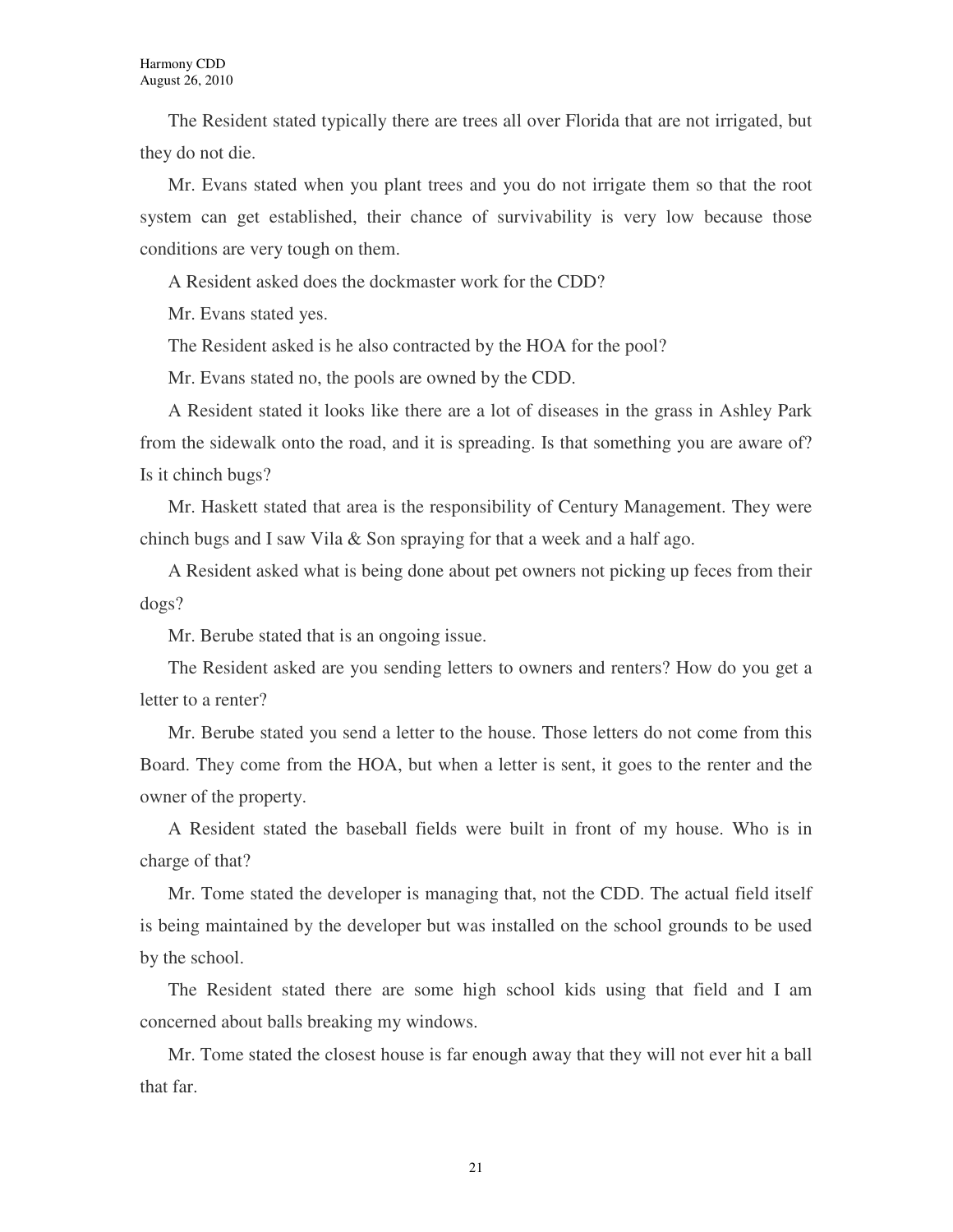The Resident stated typically there are trees all over Florida that are not irrigated, but they do not die.

Mr. Evans stated when you plant trees and you do not irrigate them so that the root system can get established, their chance of survivability is very low because those conditions are very tough on them.

A Resident asked does the dockmaster work for the CDD?

Mr. Evans stated yes.

The Resident asked is he also contracted by the HOA for the pool?

Mr. Evans stated no, the pools are owned by the CDD.

A Resident stated it looks like there are a lot of diseases in the grass in Ashley Park from the sidewalk onto the road, and it is spreading. Is that something you are aware of? Is it chinch bugs?

Mr. Haskett stated that area is the responsibility of Century Management. They were chinch bugs and I saw Vila & Son spraying for that a week and a half ago.

A Resident asked what is being done about pet owners not picking up feces from their dogs?

Mr. Berube stated that is an ongoing issue.

The Resident asked are you sending letters to owners and renters? How do you get a letter to a renter?

Mr. Berube stated you send a letter to the house. Those letters do not come from this Board. They come from the HOA, but when a letter is sent, it goes to the renter and the owner of the property.

A Resident stated the baseball fields were built in front of my house. Who is in charge of that?

Mr. Tome stated the developer is managing that, not the CDD. The actual field itself is being maintained by the developer but was installed on the school grounds to be used by the school.

The Resident stated there are some high school kids using that field and I am concerned about balls breaking my windows.

Mr. Tome stated the closest house is far enough away that they will not ever hit a ball that far.